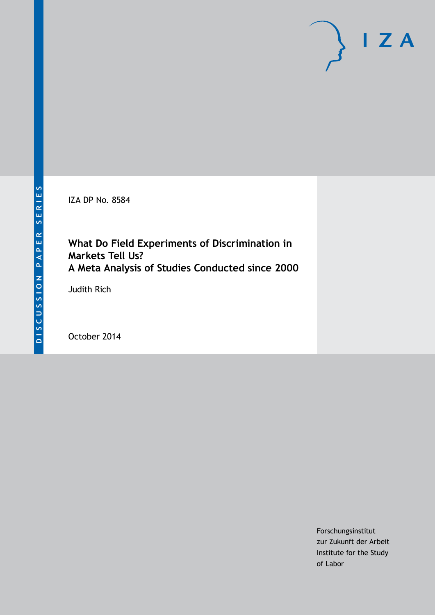IZA DP No. 8584

# **What Do Field Experiments of Discrimination in Markets Tell Us? A Meta Analysis of Studies Conducted since 2000**

Judith Rich

October 2014

Forschungsinstitut zur Zukunft der Arbeit Institute for the Study of Labor

 $I Z A$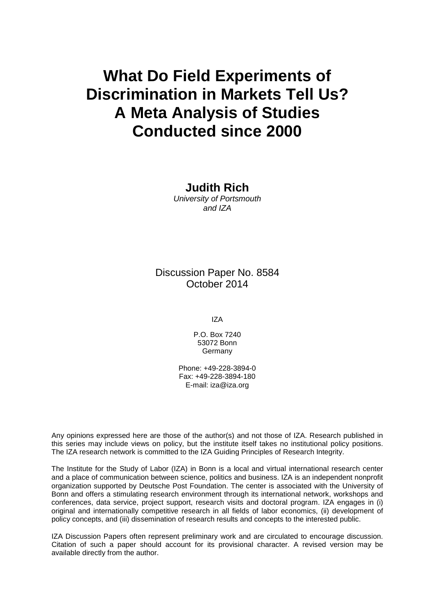# **What Do Field Experiments of Discrimination in Markets Tell Us? A Meta Analysis of Studies Conducted since 2000**

**Judith Rich** *University of Portsmouth and IZA*

Discussion Paper No. 8584 October 2014

IZA

P.O. Box 7240 53072 Bonn Germany

Phone: +49-228-3894-0 Fax: +49-228-3894-180 E-mail: [iza@iza.org](mailto:iza@iza.org)

Any opinions expressed here are those of the author(s) and not those of IZA. Research published in this series may include views on policy, but the institute itself takes no institutional policy positions. The IZA research network is committed to the IZA Guiding Principles of Research Integrity.

The Institute for the Study of Labor (IZA) in Bonn is a local and virtual international research center and a place of communication between science, politics and business. IZA is an independent nonprofit organization supported by Deutsche Post Foundation. The center is associated with the University of Bonn and offers a stimulating research environment through its international network, workshops and conferences, data service, project support, research visits and doctoral program. IZA engages in (i) original and internationally competitive research in all fields of labor economics, (ii) development of policy concepts, and (iii) dissemination of research results and concepts to the interested public.

IZA Discussion Papers often represent preliminary work and are circulated to encourage discussion. Citation of such a paper should account for its provisional character. A revised version may be available directly from the author.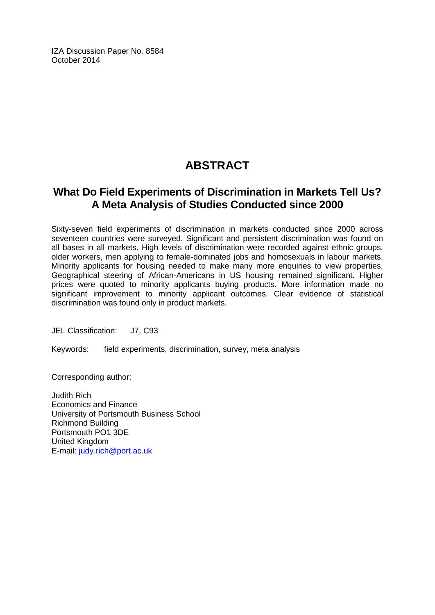IZA Discussion Paper No. 8584 October 2014

# **ABSTRACT**

# **What Do Field Experiments of Discrimination in Markets Tell Us? A Meta Analysis of Studies Conducted since 2000**

Sixty-seven field experiments of discrimination in markets conducted since 2000 across seventeen countries were surveyed. Significant and persistent discrimination was found on all bases in all markets. High levels of discrimination were recorded against ethnic groups, older workers, men applying to female-dominated jobs and homosexuals in labour markets. Minority applicants for housing needed to make many more enquiries to view properties. Geographical steering of African-Americans in US housing remained significant. Higher prices were quoted to minority applicants buying products. More information made no significant improvement to minority applicant outcomes. Clear evidence of statistical discrimination was found only in product markets.

JEL Classification: J7, C93

Keywords: field experiments, discrimination, survey, meta analysis

Corresponding author:

Judith Rich Economics and Finance University of Portsmouth Business School Richmond Building Portsmouth PO1 3DE United Kingdom E-mail: [judy.rich@port.ac.uk](mailto:judy.rich@port.ac.uk)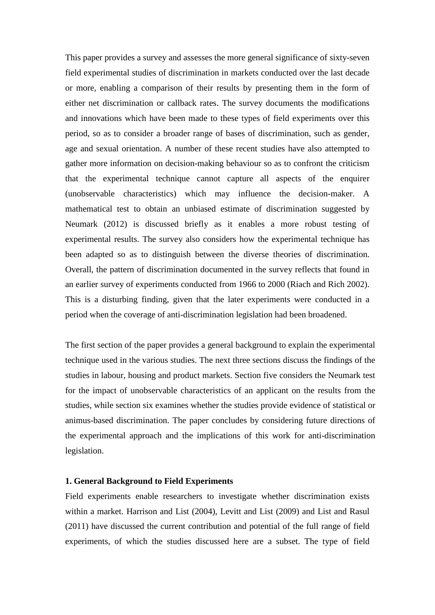This paper provides a survey and assesses the more general significance of sixty-seven field experimental studies of discrimination in markets conducted over the last decade or more, enabling a comparison of their results by presenting them in the form of either net discrimination or callback rates. The survey documents the modifications and innovations which have been made to these types of field experiments over this period, so as to consider a broader range of bases of discrimination, such as gender, age and sexual orientation. A number of these recent studies have also attempted to gather more information on decision-making behaviour so as to confront the criticism that the experimental technique cannot capture all aspects of the enquirer (unobservable characteristics) which may influence the decision-maker. A mathematical test to obtain an unbiased estimate of discrimination suggested by Neumark (2012) is discussed briefly as it enables a more robust testing of experimental results. The survey also considers how the experimental technique has been adapted so as to distinguish between the diverse theories of discrimination. Overall, the pattern of discrimination documented in the survey reflects that found in an earlier survey of experiments conducted from 1966 to 2000 (Riach and Rich 2002). This is a disturbing finding, given that the later experiments were conducted in a period when the coverage of anti-discrimination legislation had been broadened.

The first section of the paper provides a general background to explain the experimental technique used in the various studies. The next three sections discuss the findings of the studies in labour, housing and product markets. Section five considers the Neumark test for the impact of unobservable characteristics of an applicant on the results from the studies, while section six examines whether the studies provide evidence of statistical or animus-based discrimination. The paper concludes by considering future directions of the experimental approach and the implications of this work for anti-discrimination legislation.

#### **1. General Background to Field Experiments**

Field experiments enable researchers to investigate whether discrimination exists within a market. Harrison and List (2004), Levitt and List (2009) and List and Rasul (2011) have discussed the current contribution and potential of the full range of field experiments, of which the studies discussed here are a subset. The type of field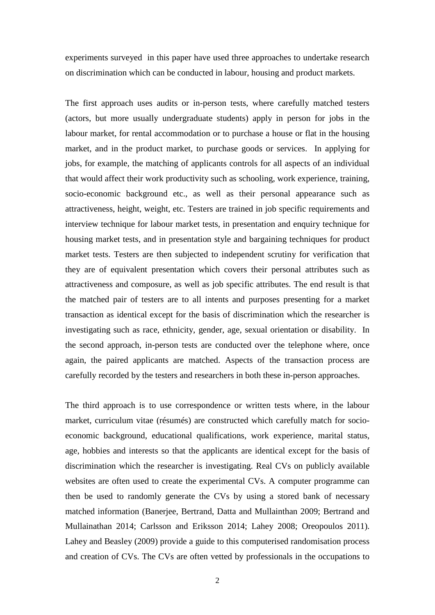experiments surveyed in this paper have used three approaches to undertake research on discrimination which can be conducted in labour, housing and product markets.

The first approach uses audits or in-person tests, where carefully matched testers (actors, but more usually undergraduate students) apply in person for jobs in the labour market, for rental accommodation or to purchase a house or flat in the housing market, and in the product market, to purchase goods or services. In applying for jobs, for example, the matching of applicants controls for all aspects of an individual that would affect their work productivity such as schooling, work experience, training, socio-economic background etc., as well as their personal appearance such as attractiveness, height, weight, etc. Testers are trained in job specific requirements and interview technique for labour market tests, in presentation and enquiry technique for housing market tests, and in presentation style and bargaining techniques for product market tests. Testers are then subjected to independent scrutiny for verification that they are of equivalent presentation which covers their personal attributes such as attractiveness and composure, as well as job specific attributes. The end result is that the matched pair of testers are to all intents and purposes presenting for a market transaction as identical except for the basis of discrimination which the researcher is investigating such as race, ethnicity, gender, age, sexual orientation or disability. In the second approach, in-person tests are conducted over the telephone where, once again, the paired applicants are matched. Aspects of the transaction process are carefully recorded by the testers and researchers in both these in-person approaches.

The third approach is to use correspondence or written tests where, in the labour market, curriculum vitae (résumés) are constructed which carefully match for socioeconomic background, educational qualifications, work experience, marital status, age, hobbies and interests so that the applicants are identical except for the basis of discrimination which the researcher is investigating. Real CVs on publicly available websites are often used to create the experimental CVs. A computer programme can then be used to randomly generate the CVs by using a stored bank of necessary matched information (Banerjee, Bertrand, Datta and Mullainthan 2009; Bertrand and Mullainathan 2014; Carlsson and Eriksson 2014; Lahey 2008; Oreopoulos 2011). Lahey and Beasley (2009) provide a guide to this computerised randomisation process and creation of CVs. The CVs are often vetted by professionals in the occupations to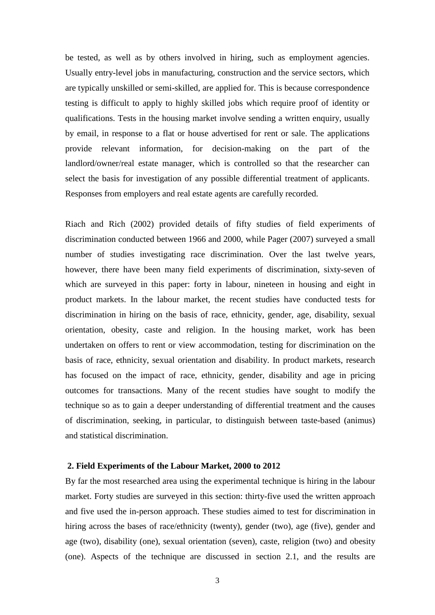be tested, as well as by others involved in hiring, such as employment agencies. Usually entry-level jobs in manufacturing, construction and the service sectors, which are typically unskilled or semi-skilled, are applied for. This is because correspondence testing is difficult to apply to highly skilled jobs which require proof of identity or qualifications. Tests in the housing market involve sending a written enquiry, usually by email, in response to a flat or house advertised for rent or sale. The applications provide relevant information, for decision-making on the part of the landlord/owner/real estate manager, which is controlled so that the researcher can select the basis for investigation of any possible differential treatment of applicants. Responses from employers and real estate agents are carefully recorded.

Riach and Rich (2002) provided details of fifty studies of field experiments of discrimination conducted between 1966 and 2000, while Pager (2007) surveyed a small number of studies investigating race discrimination. Over the last twelve years, however, there have been many field experiments of discrimination, sixty-seven of which are surveyed in this paper: forty in labour, nineteen in housing and eight in product markets. In the labour market, the recent studies have conducted tests for discrimination in hiring on the basis of race, ethnicity, gender, age, disability, sexual orientation, obesity, caste and religion. In the housing market, work has been undertaken on offers to rent or view accommodation, testing for discrimination on the basis of race, ethnicity, sexual orientation and disability. In product markets, research has focused on the impact of race, ethnicity, gender, disability and age in pricing outcomes for transactions. Many of the recent studies have sought to modify the technique so as to gain a deeper understanding of differential treatment and the causes of discrimination, seeking, in particular, to distinguish between taste-based (animus) and statistical discrimination.

#### **2. Field Experiments of the Labour Market, 2000 to 2012**

By far the most researched area using the experimental technique is hiring in the labour market. Forty studies are surveyed in this section: thirty-five used the written approach and five used the in-person approach. These studies aimed to test for discrimination in hiring across the bases of race/ethnicity (twenty), gender (two), age (five), gender and age (two), disability (one), sexual orientation (seven), caste, religion (two) and obesity (one). Aspects of the technique are discussed in section 2.1, and the results are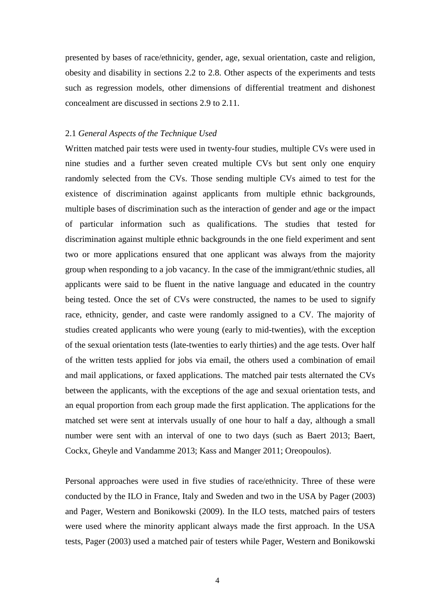presented by bases of race/ethnicity, gender, age, sexual orientation, caste and religion, obesity and disability in sections 2.2 to 2.8. Other aspects of the experiments and tests such as regression models, other dimensions of differential treatment and dishonest concealment are discussed in sections 2.9 to 2.11.

#### 2.1 *General Aspects of the Technique Used*

Written matched pair tests were used in twenty-four studies, multiple CVs were used in nine studies and a further seven created multiple CVs but sent only one enquiry randomly selected from the CVs. Those sending multiple CVs aimed to test for the existence of discrimination against applicants from multiple ethnic backgrounds, multiple bases of discrimination such as the interaction of gender and age or the impact of particular information such as qualifications. The studies that tested for discrimination against multiple ethnic backgrounds in the one field experiment and sent two or more applications ensured that one applicant was always from the majority group when responding to a job vacancy. In the case of the immigrant/ethnic studies, all applicants were said to be fluent in the native language and educated in the country being tested. Once the set of CVs were constructed, the names to be used to signify race, ethnicity, gender, and caste were randomly assigned to a CV. The majority of studies created applicants who were young (early to mid-twenties), with the exception of the sexual orientation tests (late-twenties to early thirties) and the age tests. Over half of the written tests applied for jobs via email, the others used a combination of email and mail applications, or faxed applications. The matched pair tests alternated the CVs between the applicants, with the exceptions of the age and sexual orientation tests, and an equal proportion from each group made the first application. The applications for the matched set were sent at intervals usually of one hour to half a day, although a small number were sent with an interval of one to two days (such as Baert 2013; Baert, Cockx, Gheyle and Vandamme 2013; Kass and Manger 2011; Oreopoulos).

Personal approaches were used in five studies of race/ethnicity. Three of these were conducted by the ILO in France, Italy and Sweden and two in the USA by Pager (2003) and Pager, Western and Bonikowski (2009). In the ILO tests, matched pairs of testers were used where the minority applicant always made the first approach. In the USA tests, Pager (2003) used a matched pair of testers while Pager, Western and Bonikowski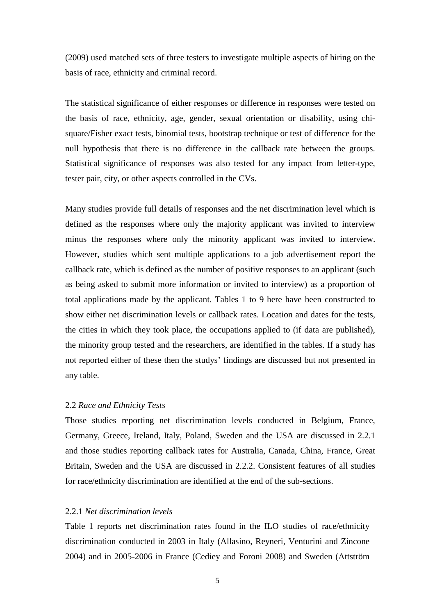(2009) used matched sets of three testers to investigate multiple aspects of hiring on the basis of race, ethnicity and criminal record.

The statistical significance of either responses or difference in responses were tested on the basis of race, ethnicity, age, gender, sexual orientation or disability, using chisquare/Fisher exact tests, binomial tests, bootstrap technique or test of difference for the null hypothesis that there is no difference in the callback rate between the groups. Statistical significance of responses was also tested for any impact from letter-type, tester pair, city, or other aspects controlled in the CVs.

Many studies provide full details of responses and the net discrimination level which is defined as the responses where only the majority applicant was invited to interview minus the responses where only the minority applicant was invited to interview. However, studies which sent multiple applications to a job advertisement report the callback rate, which is defined as the number of positive responses to an applicant (such as being asked to submit more information or invited to interview) as a proportion of total applications made by the applicant. Tables 1 to 9 here have been constructed to show either net discrimination levels or callback rates. Location and dates for the tests, the cities in which they took place, the occupations applied to (if data are published), the minority group tested and the researchers, are identified in the tables. If a study has not reported either of these then the studys' findings are discussed but not presented in any table.

#### 2.2 *Race and Ethnicity Tests*

Those studies reporting net discrimination levels conducted in Belgium, France, Germany, Greece, Ireland, Italy, Poland, Sweden and the USA are discussed in 2.2.1 and those studies reporting callback rates for Australia, Canada, China, France, Great Britain, Sweden and the USA are discussed in 2.2.2. Consistent features of all studies for race/ethnicity discrimination are identified at the end of the sub-sections.

#### 2.2.1 *Net discrimination levels*

Table 1 reports net discrimination rates found in the ILO studies of race/ethnicity discrimination conducted in 2003 in Italy (Allasino, Reyneri, Venturini and Zincone 2004) and in 2005-2006 in France (Cediey and Foroni 2008) and Sweden (Attström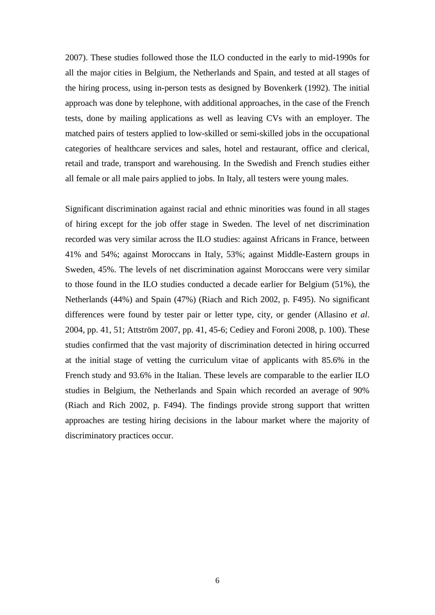2007). These studies followed those the ILO conducted in the early to mid-1990s for all the major cities in Belgium, the Netherlands and Spain, and tested at all stages of the hiring process, using in-person tests as designed by Bovenkerk (1992). The initial approach was done by telephone, with additional approaches, in the case of the French tests, done by mailing applications as well as leaving CVs with an employer. The matched pairs of testers applied to low-skilled or semi-skilled jobs in the occupational categories of healthcare services and sales, hotel and restaurant, office and clerical, retail and trade, transport and warehousing. In the Swedish and French studies either all female or all male pairs applied to jobs. In Italy, all testers were young males.

Significant discrimination against racial and ethnic minorities was found in all stages of hiring except for the job offer stage in Sweden. The level of net discrimination recorded was very similar across the ILO studies: against Africans in France, between 41% and 54%; against Moroccans in Italy, 53%; against Middle-Eastern groups in Sweden, 45%. The levels of net discrimination against Moroccans were very similar to those found in the ILO studies conducted a decade earlier for Belgium (51%), the Netherlands (44%) and Spain (47%) (Riach and Rich 2002, p. F495). No significant differences were found by tester pair or letter type, city, or gender (Allasino *et al*. 2004, pp. 41, 51; Attström 2007, pp. 41, 45-6; Cediey and Foroni 2008, p. 100). These studies confirmed that the vast majority of discrimination detected in hiring occurred at the initial stage of vetting the curriculum vitae of applicants with 85.6% in the French study and 93.6% in the Italian. These levels are comparable to the earlier ILO studies in Belgium, the Netherlands and Spain which recorded an average of 90% (Riach and Rich 2002, p. F494). The findings provide strong support that written approaches are testing hiring decisions in the labour market where the majority of discriminatory practices occur.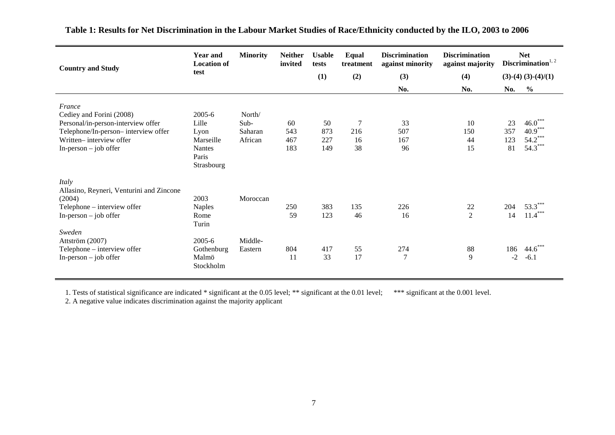| <b>Country and Study</b>                                                                                                                                              | <b>Year and</b><br><b>Location of</b><br>test                                | <b>Minority</b>                      | <b>Neither</b><br>invited | <b>Usable</b><br>tests  | Equal<br>treatment   | <b>Discrimination</b><br>against minority | <b>Discrimination</b><br>against majority |                        | <b>Net</b><br>Discrimination $1, 2$              |
|-----------------------------------------------------------------------------------------------------------------------------------------------------------------------|------------------------------------------------------------------------------|--------------------------------------|---------------------------|-------------------------|----------------------|-------------------------------------------|-------------------------------------------|------------------------|--------------------------------------------------|
|                                                                                                                                                                       |                                                                              |                                      |                           | (1)                     | (2)                  | (3)                                       | (4)                                       |                        | $(3)-(4)(3)-(4)/(1)$                             |
|                                                                                                                                                                       |                                                                              |                                      |                           |                         |                      | No.                                       | No.                                       | No.                    | $\%$                                             |
| France<br>Cediey and Forini (2008)<br>Personal/in-person-interview offer<br>Telephone/In-person-interview offer<br>Written-interview offer<br>$In-person - job offer$ | 2005-6<br>Lille<br>Lyon<br>Marseille<br><b>Nantes</b><br>Paris<br>Strasbourg | North/<br>Sub-<br>Saharan<br>African | 60<br>543<br>467<br>183   | 50<br>873<br>227<br>149 | 7<br>216<br>16<br>38 | 33<br>507<br>167<br>96                    | 10<br>150<br>44<br>15                     | 23<br>357<br>123<br>81 | $46.0***$<br>$40.9***$<br>$54.2***$<br>$54.3***$ |
| Italy<br>Allasino, Reyneri, Venturini and Zincone<br>(2004)<br>Telephone – interview offer<br>$In-person - job offer$<br>Sweden                                       | 2003<br><b>Naples</b><br>Rome<br>Turin                                       | Moroccan                             | 250<br>59                 | 383<br>123              | 135<br>46            | 226<br>16                                 | 22<br>$\overline{2}$                      | 204<br>14              | $53.3***$<br>$11.4***$                           |
| Attström (2007)<br>Telephone - interview offer<br>$In-person - job offer$                                                                                             | $2005 - 6$<br>Gothenburg<br>Malmö<br>Stockholm                               | Middle-<br>Eastern                   | 804<br>11                 | 417<br>33               | 55<br>17             | 274<br>$\overline{7}$                     | 88<br>9                                   | 186<br>$-2$            | $44.6^{\degree}$<br>$-6.1$                       |

**Table 1: Results for Net Discrimination in the Labour Market Studies of Race/Ethnicity conducted by the ILO, 2003 to 2006**

1. Tests of statistical significance are indicated \* significant at the 0.05 level; \*\* significant at the 0.01 level; \*\*\* significant at the 0.001 level.

2. A negative value indicates discrimination against the majority applicant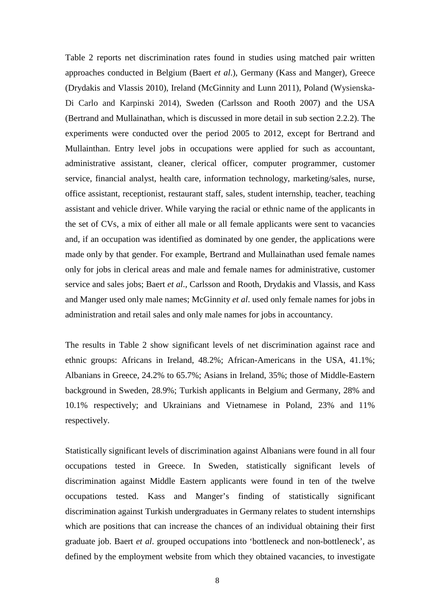Table 2 reports net discrimination rates found in studies using matched pair written approaches conducted in Belgium (Baert *et al*.), Germany (Kass and Manger), Greece (Drydakis and Vlassis 2010), Ireland (McGinnity and Lunn 2011), Poland (Wysienska-Di Carlo and Karpinski 2014), Sweden (Carlsson and Rooth 2007) and the USA (Bertrand and Mullainathan, which is discussed in more detail in sub section 2.2.2). The experiments were conducted over the period 2005 to 2012, except for Bertrand and Mullainthan. Entry level jobs in occupations were applied for such as accountant, administrative assistant, cleaner, clerical officer, computer programmer, customer service, financial analyst, health care, information technology, marketing/sales, nurse, office assistant, receptionist, restaurant staff, sales, student internship, teacher, teaching assistant and vehicle driver. While varying the racial or ethnic name of the applicants in the set of CVs, a mix of either all male or all female applicants were sent to vacancies and, if an occupation was identified as dominated by one gender, the applications were made only by that gender. For example, Bertrand and Mullainathan used female names only for jobs in clerical areas and male and female names for administrative, customer service and sales jobs; Baert *et al*., Carlsson and Rooth, Drydakis and Vlassis, and Kass and Manger used only male names; McGinnity *et al*. used only female names for jobs in administration and retail sales and only male names for jobs in accountancy.

The results in Table 2 show significant levels of net discrimination against race and ethnic groups: Africans in Ireland, 48.2%; African-Americans in the USA, 41.1%; Albanians in Greece, 24.2% to 65.7%; Asians in Ireland, 35%; those of Middle-Eastern background in Sweden, 28.9%; Turkish applicants in Belgium and Germany, 28% and 10.1% respectively; and Ukrainians and Vietnamese in Poland, 23% and 11% respectively.

Statistically significant levels of discrimination against Albanians were found in all four occupations tested in Greece. In Sweden, statistically significant levels of discrimination against Middle Eastern applicants were found in ten of the twelve occupations tested. Kass and Manger's finding of statistically significant discrimination against Turkish undergraduates in Germany relates to student internships which are positions that can increase the chances of an individual obtaining their first graduate job. Baert *et al*. grouped occupations into 'bottleneck and non-bottleneck', as defined by the employment website from which they obtained vacancies, to investigate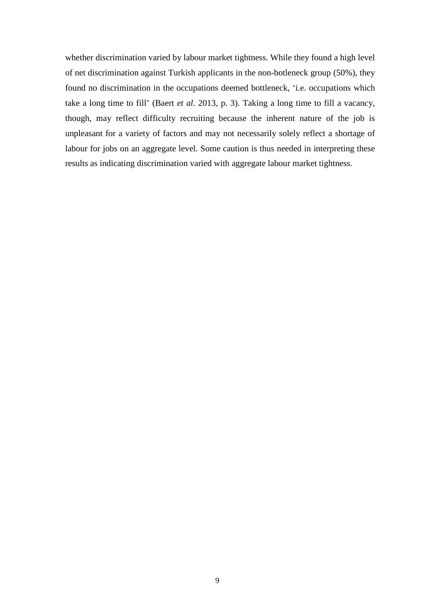whether discrimination varied by labour market tightness. While they found a high level of net discrimination against Turkish applicants in the non-botleneck group (50%), they found no discrimination in the occupations deemed bottleneck, 'i.e. occupations which take a long time to fill' (Baert *et al*. 2013, p. 3). Taking a long time to fill a vacancy, though, may reflect difficulty recruiting because the inherent nature of the job is unpleasant for a variety of factors and may not necessarily solely reflect a shortage of labour for jobs on an aggregate level. Some caution is thus needed in interpreting these results as indicating discrimination varied with aggregate labour market tightness.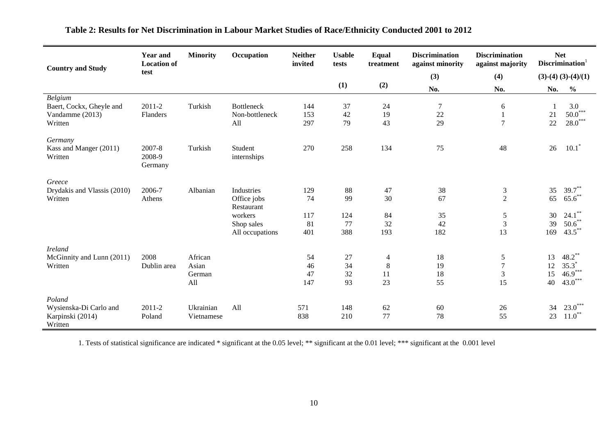| <b>Country and Study</b>                                                 | <b>Year and</b><br><b>Location of</b> | <b>Minority</b>                   | Occupation                                 | <b>Neither</b><br>invited | <b>Usable</b><br>tests | Equal<br>treatment       | <b>Discrimination</b><br>against minority | <b>Discrimination</b><br>against majority                 | <b>Net</b>           | Discrimination <sup>1</sup>                    |
|--------------------------------------------------------------------------|---------------------------------------|-----------------------------------|--------------------------------------------|---------------------------|------------------------|--------------------------|-------------------------------------------|-----------------------------------------------------------|----------------------|------------------------------------------------|
|                                                                          | test                                  |                                   |                                            |                           |                        |                          | (3)                                       | (4)                                                       |                      | $(3)-(4)(3)-(4)/(1)$                           |
|                                                                          |                                       |                                   |                                            |                           | (1)                    | (2)                      | No.                                       | No.                                                       | No.                  | $\frac{6}{6}$                                  |
| <b>Belgium</b><br>Baert, Cockx, Gheyle and<br>Vandamme (2013)<br>Written | 2011-2<br>Flanders                    | Turkish                           | <b>Bottleneck</b><br>Non-bottleneck<br>All | 144<br>153<br>297         | 37<br>42<br>79         | 24<br>19<br>43           | $\tau$<br>22<br>29                        | 6<br>1<br>$\overline{7}$                                  | 21<br>22             | 3.0<br>$50.0***$<br>$28.0***$                  |
|                                                                          |                                       |                                   |                                            |                           |                        |                          |                                           |                                                           |                      |                                                |
| Germany<br>Kass and Manger (2011)<br>Written                             | 2007-8<br>2008-9<br>Germany           | Turkish                           | Student<br>internships                     | 270                       | 258                    | 134                      | 75                                        | 48                                                        | 26                   | $10.1^*$                                       |
| Greece                                                                   |                                       |                                   |                                            |                           |                        |                          |                                           |                                                           |                      |                                                |
| Drydakis and Vlassis (2010)<br>Written                                   | 2006-7<br>Athens                      | Albanian                          | Industries<br>Office jobs<br>Restaurant    | 129<br>74                 | 88<br>99               | 47<br>30                 | 38<br>67                                  | $\mathfrak{Z}$<br>$\sqrt{2}$                              | 35<br>65             | $39.7***$<br>$65.6$ **                         |
|                                                                          |                                       |                                   | workers                                    | 117                       | 124                    | 84                       | 35                                        | $\mathfrak s$                                             | 30                   | $24.1$ **                                      |
|                                                                          |                                       |                                   | Shop sales<br>All occupations              | 81<br>401                 | 77<br>388              | 32<br>193                | 42<br>182                                 | $\mathfrak{Z}$<br>13                                      | 39<br>169            | $50.6$ **<br>$43.5$ **                         |
| <b>Ireland</b>                                                           |                                       |                                   |                                            |                           |                        |                          |                                           |                                                           |                      |                                                |
| McGinnity and Lunn (2011)<br>Written                                     | 2008<br>Dublin area                   | African<br>Asian<br>German<br>All |                                            | 54<br>46<br>47<br>147     | 27<br>34<br>32<br>93   | 4<br>$\,8\,$<br>11<br>23 | 18<br>19<br>18<br>55                      | $\mathfrak s$<br>$\boldsymbol{7}$<br>$\mathfrak{Z}$<br>15 | 13<br>12<br>15<br>40 | $48.2$ **<br>$35.3*$<br>$46.9***$<br>$43.0***$ |
| Poland<br>Wysienska-Di Carlo and<br>Karpinski (2014)<br>Written          | $2011 - 2$<br>Poland                  | Ukrainian<br>Vietnamese           | All                                        | 571<br>838                | 148<br>210             | 62<br>77                 | 60<br>78                                  | 26<br>55                                                  | 34<br>23             | $23.0***$<br>$11.0***$                         |

# **Table 2: Results for Net Discrimination in Labour Market Studies of Race/Ethnicity Conducted 2001 to 2012**

1. Tests of statistical significance are indicated \* significant at the 0.05 level; \*\* significant at the 0.01 level; \*\*\* significant at the 0.001 level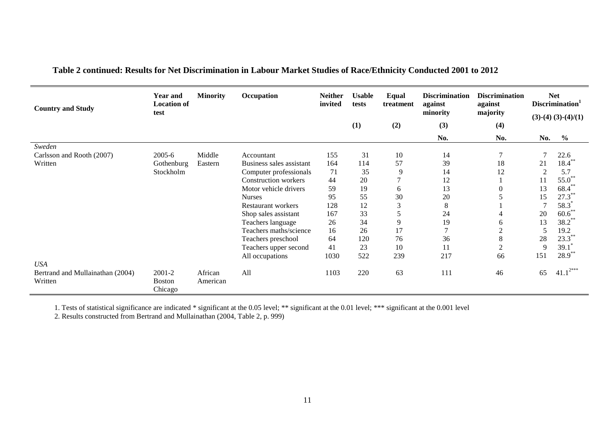| <b>Country and Study</b>         | <b>Year and</b><br><b>Location of</b><br>test | <b>Minority</b> | Occupation                  | <b>Neither</b><br>invited | <b>Usable</b><br>tests | Equal<br>treatment | <b>Discrimination</b><br>against<br>minority | <b>Discrimination</b><br>against<br>majority |                | <b>Net</b><br>Discrimination <sup>1</sup><br>$(3)-(4)(3)-(4)/(1)$ |
|----------------------------------|-----------------------------------------------|-----------------|-----------------------------|---------------------------|------------------------|--------------------|----------------------------------------------|----------------------------------------------|----------------|-------------------------------------------------------------------|
|                                  |                                               |                 |                             |                           | (1)                    | (2)                | (3)                                          | (4)                                          |                |                                                                   |
|                                  |                                               |                 |                             |                           |                        |                    | No.                                          | No.                                          | No.            | $\frac{0}{0}$                                                     |
| Sweden                           |                                               |                 |                             |                           |                        |                    |                                              |                                              |                |                                                                   |
| Carlsson and Rooth (2007)        | 2005-6                                        | Middle          | Accountant                  | 155                       | 31                     | 10                 | 14                                           | $\overline{7}$                               | $\overline{7}$ | 22.6                                                              |
| Written                          | Gothenburg                                    | Eastern         | Business sales assistant    | 164                       | 114                    | 57                 | 39                                           | 18                                           | 21             | $18.4***$                                                         |
|                                  | Stockholm                                     |                 | Computer professionals      | 71                        | 35                     | 9                  | 14                                           | 12                                           | $\overline{2}$ | 5.7                                                               |
|                                  |                                               |                 | <b>Construction</b> workers | 44                        | 20                     |                    | 12                                           |                                              | 11             | $55.0^{**}$                                                       |
|                                  |                                               |                 | Motor vehicle drivers       | 59                        | 19                     | 6                  | 13                                           | $\Omega$                                     | 13             | $68.4^{\degree}$                                                  |
|                                  |                                               |                 | <b>Nurses</b>               | 95                        | 55                     | 30                 | 20                                           |                                              | 15             | $27.3***$                                                         |
|                                  |                                               |                 | Restaurant workers          | 128                       | 12                     | 3                  | 8                                            |                                              | 7              | 58.3                                                              |
|                                  |                                               |                 | Shop sales assistant        | 167                       | 33                     | 5                  | 24                                           |                                              | 20             | $60.6$ **                                                         |
|                                  |                                               |                 | Teachers language           | 26                        | 34                     | 9                  | 19                                           | 6                                            | 13             | $38.2^{\degree}$                                                  |
|                                  |                                               |                 | Teachers maths/science      | 16                        | 26                     | 17                 | $\tau$                                       | $\overline{c}$                               | 5              | 19.2                                                              |
|                                  |                                               |                 | Teachers preschool          | 64                        | 120                    | 76                 | 36                                           | 8                                            | 28             | $23.3***$                                                         |
|                                  |                                               |                 | Teachers upper second       | 41                        | 23                     | 10                 | 11                                           | $\overline{2}$                               | 9              | 39.1                                                              |
|                                  |                                               |                 | All occupations             | 1030                      | 522                    | 239                | 217                                          | 66                                           | 151            | $28.9***$                                                         |
| <b>USA</b>                       |                                               |                 |                             |                           |                        |                    |                                              |                                              |                |                                                                   |
| Bertrand and Mullainathan (2004) | 2001-2                                        | African         | All                         | 1103                      | 220                    | 63                 | 111                                          | 46                                           | 65             | $41.1^{2***}$                                                     |
| Written                          | <b>Boston</b><br>Chicago                      | American        |                             |                           |                        |                    |                                              |                                              |                |                                                                   |

**Table 2 continued: Results for Net Discrimination in Labour Market Studies of Race/Ethnicity Conducted 2001 to 2012**

1. Tests of statistical significance are indicated \* significant at the 0.05 level; \*\* significant at the 0.01 level; \*\*\* significant at the 0.001 level

2. Results constructed from Bertrand and Mullainathan (2004, Table 2, p. 999)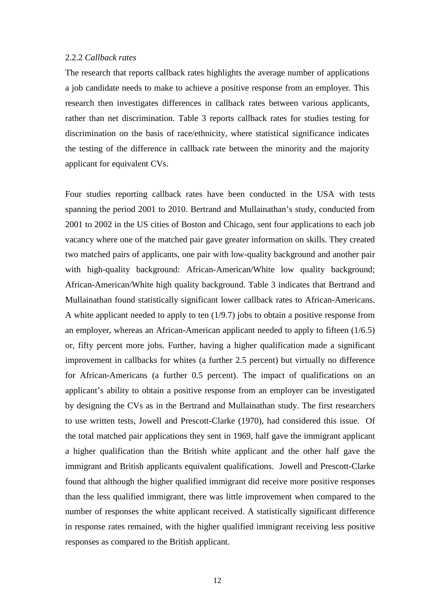#### 2.2.2 *Callback rates*

The research that reports callback rates highlights the average number of applications a job candidate needs to make to achieve a positive response from an employer. This research then investigates differences in callback rates between various applicants, rather than net discrimination. Table 3 reports callback rates for studies testing for discrimination on the basis of race/ethnicity, where statistical significance indicates the testing of the difference in callback rate between the minority and the majority applicant for equivalent CVs.

Four studies reporting callback rates have been conducted in the USA with tests spanning the period 2001 to 2010. Bertrand and Mullainathan's study, conducted from 2001 to 2002 in the US cities of Boston and Chicago, sent four applications to each job vacancy where one of the matched pair gave greater information on skills. They created two matched pairs of applicants, one pair with low-quality background and another pair with high-quality background: African-American/White low quality background; African-American/White high quality background. Table 3 indicates that Bertrand and Mullainathan found statistically significant lower callback rates to African-Americans. A white applicant needed to apply to ten (1/9.7) jobs to obtain a positive response from an employer, whereas an African-American applicant needed to apply to fifteen (1/6.5) or, fifty percent more jobs. Further, having a higher qualification made a significant improvement in callbacks for whites (a further 2.5 percent) but virtually no difference for African-Americans (a further 0.5 percent). The impact of qualifications on an applicant's ability to obtain a positive response from an employer can be investigated by designing the CVs as in the Bertrand and Mullainathan study. The first researchers to use written tests, Jowell and Prescott-Clarke (1970), had considered this issue. Of the total matched pair applications they sent in 1969, half gave the immigrant applicant a higher qualification than the British white applicant and the other half gave the immigrant and British applicants equivalent qualifications. Jowell and Prescott-Clarke found that although the higher qualified immigrant did receive more positive responses than the less qualified immigrant, there was little improvement when compared to the number of responses the white applicant received. A statistically significant difference in response rates remained, with the higher qualified immigrant receiving less positive responses as compared to the British applicant.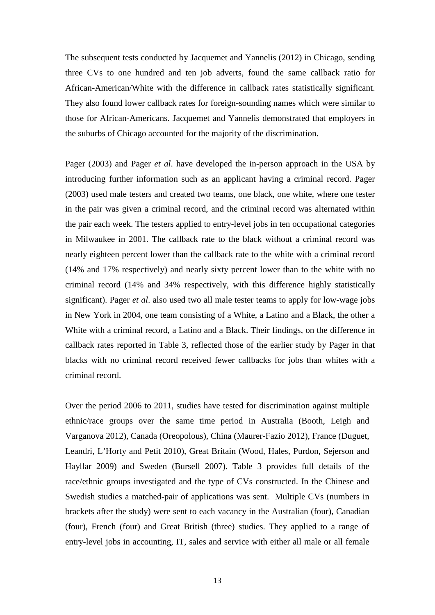The subsequent tests conducted by Jacquemet and Yannelis (2012) in Chicago, sending three CVs to one hundred and ten job adverts, found the same callback ratio for African-American/White with the difference in callback rates statistically significant. They also found lower callback rates for foreign-sounding names which were similar to those for African-Americans. Jacquemet and Yannelis demonstrated that employers in the suburbs of Chicago accounted for the majority of the discrimination.

Pager (2003) and Pager *et al*. have developed the in-person approach in the USA by introducing further information such as an applicant having a criminal record. Pager (2003) used male testers and created two teams, one black, one white, where one tester in the pair was given a criminal record, and the criminal record was alternated within the pair each week. The testers applied to entry-level jobs in ten occupational categories in Milwaukee in 2001. The callback rate to the black without a criminal record was nearly eighteen percent lower than the callback rate to the white with a criminal record (14% and 17% respectively) and nearly sixty percent lower than to the white with no criminal record (14% and 34% respectively, with this difference highly statistically significant). Pager *et al*. also used two all male tester teams to apply for low-wage jobs in New York in 2004, one team consisting of a White, a Latino and a Black, the other a White with a criminal record, a Latino and a Black. Their findings, on the difference in callback rates reported in Table 3, reflected those of the earlier study by Pager in that blacks with no criminal record received fewer callbacks for jobs than whites with a criminal record.

Over the period 2006 to 2011, studies have tested for discrimination against multiple ethnic/race groups over the same time period in Australia (Booth, Leigh and Varganova 2012), Canada (Oreopolous), China (Maurer-Fazio 2012), France (Duguet, Leandri, L'Horty and Petit 2010), Great Britain (Wood, Hales, Purdon, Sejerson and Hayllar 2009) and Sweden (Bursell 2007). Table 3 provides full details of the race/ethnic groups investigated and the type of CVs constructed. In the Chinese and Swedish studies a matched-pair of applications was sent. Multiple CVs (numbers in brackets after the study) were sent to each vacancy in the Australian (four), Canadian (four), French (four) and Great British (three) studies. They applied to a range of entry-level jobs in accounting, IT, sales and service with either all male or all female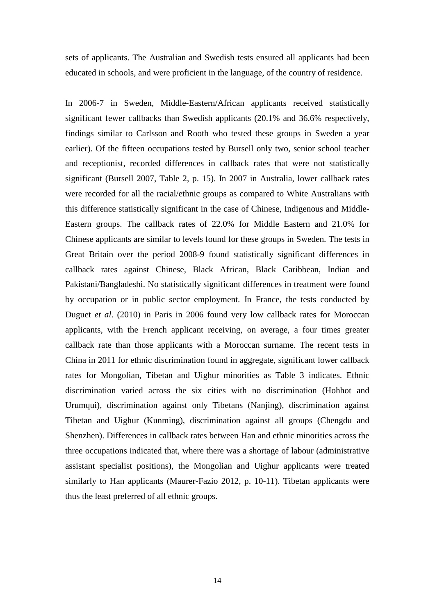sets of applicants. The Australian and Swedish tests ensured all applicants had been educated in schools, and were proficient in the language, of the country of residence.

In 2006-7 in Sweden, Middle-Eastern/African applicants received statistically significant fewer callbacks than Swedish applicants (20.1% and 36.6% respectively, findings similar to Carlsson and Rooth who tested these groups in Sweden a year earlier). Of the fifteen occupations tested by Bursell only two, senior school teacher and receptionist, recorded differences in callback rates that were not statistically significant (Bursell 2007, Table 2, p. 15). In 2007 in Australia, lower callback rates were recorded for all the racial/ethnic groups as compared to White Australians with this difference statistically significant in the case of Chinese, Indigenous and Middle-Eastern groups. The callback rates of 22.0% for Middle Eastern and 21.0% for Chinese applicants are similar to levels found for these groups in Sweden. The tests in Great Britain over the period 2008-9 found statistically significant differences in callback rates against Chinese, Black African, Black Caribbean, Indian and Pakistani/Bangladeshi. No statistically significant differences in treatment were found by occupation or in public sector employment. In France, the tests conducted by Duguet *et al*. (2010) in Paris in 2006 found very low callback rates for Moroccan applicants, with the French applicant receiving, on average, a four times greater callback rate than those applicants with a Moroccan surname. The recent tests in China in 2011 for ethnic discrimination found in aggregate, significant lower callback rates for Mongolian, Tibetan and Uighur minorities as Table 3 indicates. Ethnic discrimination varied across the six cities with no discrimination (Hohhot and Urumqui), discrimination against only Tibetans (Nanjing), discrimination against Tibetan and Uighur (Kunming), discrimination against all groups (Chengdu and Shenzhen). Differences in callback rates between Han and ethnic minorities across the three occupations indicated that, where there was a shortage of labour (administrative assistant specialist positions), the Mongolian and Uighur applicants were treated similarly to Han applicants (Maurer-Fazio 2012, p. 10-11). Tibetan applicants were thus the least preferred of all ethnic groups.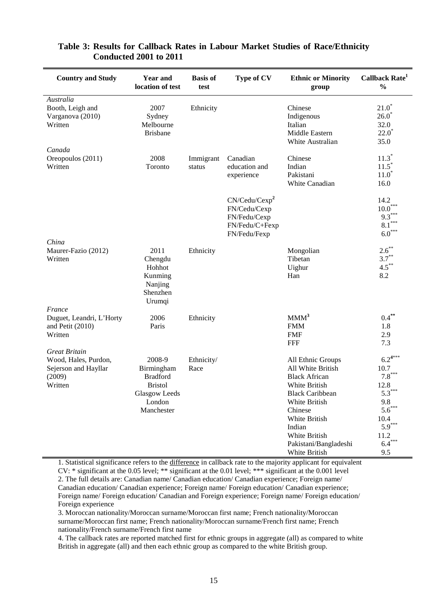| <b>Country and Study</b>                                                           | <b>Year and</b><br>location of test                                                                | <b>Basis of</b><br>test | Type of CV                                                                                  | <b>Ethnic or Minority</b><br>group                                                                                                                                                                                          | Callback Rate <sup>1</sup><br>$\frac{6}{6}$                                                                            |
|------------------------------------------------------------------------------------|----------------------------------------------------------------------------------------------------|-------------------------|---------------------------------------------------------------------------------------------|-----------------------------------------------------------------------------------------------------------------------------------------------------------------------------------------------------------------------------|------------------------------------------------------------------------------------------------------------------------|
| Australia<br>Booth, Leigh and<br>Varganova (2010)<br>Written                       | 2007<br>Sydney<br>Melbourne<br><b>Brisbane</b>                                                     | Ethnicity               |                                                                                             | Chinese<br>Indigenous<br>Italian<br>Middle Eastern<br>White Australian                                                                                                                                                      | $21.0*$<br>$26.0^*$<br>32.0<br>$22.0^*$<br>35.0                                                                        |
| Canada<br>Oreopoulos (2011)<br>Written                                             | 2008<br>Toronto                                                                                    | Immigrant<br>status     | Canadian<br>education and<br>experience                                                     | Chinese<br>Indian<br>Pakistani<br>White Canadian                                                                                                                                                                            | $11.3*$<br>$11.5^*$<br>$11.0^*$<br>16.0                                                                                |
|                                                                                    |                                                                                                    |                         | CN/Cedu/Cexp <sup>2</sup><br>FN/Cedu/Cexp<br>FN/Fedu/Cexp<br>FN/Fedu/C+Fexp<br>FN/Fedu/Fexp |                                                                                                                                                                                                                             | 14.2<br>$10.0^{\degree}$<br>9.3<br>$8.1***$<br>$6.0***$                                                                |
| China<br>Maurer-Fazio (2012)<br>Written                                            | 2011<br>Chengdu<br>Hohhot<br>Kunming<br>Nanjing<br>Shenzhen<br>Urumqi                              | Ethnicity               |                                                                                             | Mongolian<br>Tibetan<br>Uighur<br>Han                                                                                                                                                                                       | $2.6***$<br>$3.7***$<br>$4.5***$<br>8.2                                                                                |
| France<br>Duguet, Leandri, L'Horty<br>and Petit (2010)<br>Written                  | 2006<br>Paris                                                                                      | Ethnicity               |                                                                                             | $MM^3$<br><b>FMM</b><br><b>FMF</b><br><b>FFF</b>                                                                                                                                                                            | $0.4***$<br>1.8<br>2.9<br>7.3                                                                                          |
| Great Britain<br>Wood, Hales, Purdon,<br>Sejerson and Hayllar<br>(2009)<br>Written | 2008-9<br>Birmingham<br><b>Bradford</b><br><b>Bristol</b><br>Glasgow Leeds<br>London<br>Manchester | Ethnicity/<br>Race      |                                                                                             | All Ethnic Groups<br>All White British<br><b>Black African</b><br>White British<br><b>Black Caribbean</b><br>White British<br>Chinese<br>White British<br>Indian<br>White British<br>Pakistani/Bangladeshi<br>White British | $6.2^{4***}$<br>10.7<br>$7.8***$<br>12.8<br>$5.3***$<br>9.8<br>$5.6***$<br>10.4<br>$5.9***$<br>11.2<br>$6.4***$<br>9.5 |

# **Table 3: Results for Callback Rates in Labour Market Studies of Race/Ethnicity Conducted 2001 to 2011**

1. Statistical significance refers to the difference in callback rate to the majority applicant for equivalent CV: \* significant at the 0.05 level; \*\* significant at the 0.01 level; \*\*\* significant at the 0.001 level 2. The full details are: Canadian name/ Canadian education/ Canadian experience; Foreign name/

Canadian education/ Canadian experience; Foreign name/ Foreign education/ Canadian experience; Foreign name/ Foreign education/ Canadian and Foreign experience; Foreign name/ Foreign education/ Foreign experience

3. Moroccan nationality/Moroccan surname/Moroccan first name; French nationality/Moroccan surname/Moroccan first name; French nationality/Moroccan surname/French first name; French nationality/French surname/French first name

4. The callback rates are reported matched first for ethnic groups in aggregate (all) as compared to white British in aggregate (all) and then each ethnic group as compared to the white British group.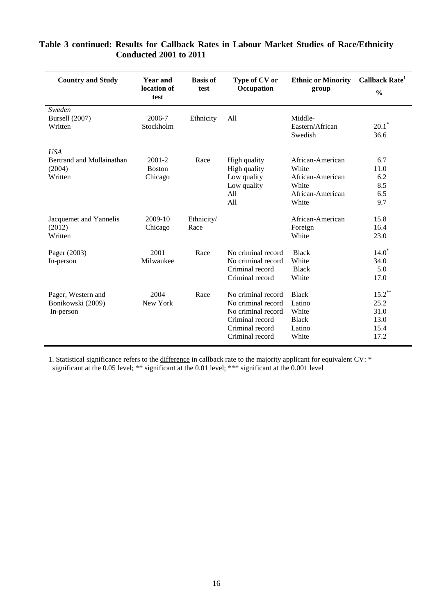| <b>Country and Study</b>                                     | <b>Year and</b><br>location of<br>test | <b>Basis of</b><br>test | Type of CV or<br>Occupation                                                                                             | <b>Ethnic or Minority</b><br>group                                                  | Callback Rate <sup>1</sup><br>$\frac{0}{0}$       |
|--------------------------------------------------------------|----------------------------------------|-------------------------|-------------------------------------------------------------------------------------------------------------------------|-------------------------------------------------------------------------------------|---------------------------------------------------|
| Sweden<br>Bursell (2007)<br>Written                          | 2006-7<br>Stockholm                    | Ethnicity               | All                                                                                                                     | Middle-<br>Eastern/African<br>Swedish                                               | $20.1$ <sup>*</sup><br>36.6                       |
| <b>USA</b><br>Bertrand and Mullainathan<br>(2004)<br>Written | 2001-2<br><b>Boston</b><br>Chicago     | Race                    | High quality<br>High quality<br>Low quality<br>Low quality<br>All<br>All                                                | African-American<br>White<br>African-American<br>White<br>African-American<br>White | 6.7<br>11.0<br>6.2<br>8.5<br>6.5<br>9.7           |
| Jacquemet and Yannelis<br>(2012)<br>Written                  | 2009-10<br>Chicago                     | Ethnicity/<br>Race      |                                                                                                                         | African-American<br>Foreign<br>White                                                | 15.8<br>16.4<br>23.0                              |
| Pager (2003)<br>In-person                                    | 2001<br>Milwaukee                      | Race                    | No criminal record<br>No criminal record<br>Criminal record<br>Criminal record                                          | <b>Black</b><br>White<br><b>Black</b><br>White                                      | $14.0*$<br>34.0<br>5.0<br>17.0                    |
| Pager, Western and<br>Bonikowski (2009)<br>In-person         | 2004<br>New York                       | Race                    | No criminal record<br>No criminal record<br>No criminal record<br>Criminal record<br>Criminal record<br>Criminal record | <b>Black</b><br>Latino<br>White<br><b>Black</b><br>Latino<br>White                  | $15.2***$<br>25.2<br>31.0<br>13.0<br>15.4<br>17.2 |

# **Table 3 continued: Results for Callback Rates in Labour Market Studies of Race/Ethnicity Conducted 2001 to 2011**

 1. Statistical significance refers to the difference in callback rate to the majority applicant for equivalent CV: \* significant at the 0.05 level; \*\* significant at the 0.01 level; \*\*\* significant at the 0.001 level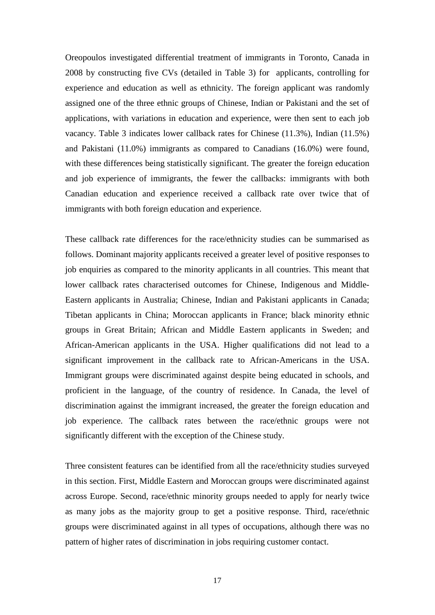Oreopoulos investigated differential treatment of immigrants in Toronto, Canada in 2008 by constructing five CVs (detailed in Table 3) for applicants, controlling for experience and education as well as ethnicity. The foreign applicant was randomly assigned one of the three ethnic groups of Chinese, Indian or Pakistani and the set of applications, with variations in education and experience, were then sent to each job vacancy. Table 3 indicates lower callback rates for Chinese (11.3%), Indian (11.5%) and Pakistani (11.0%) immigrants as compared to Canadians (16.0%) were found, with these differences being statistically significant. The greater the foreign education and job experience of immigrants, the fewer the callbacks: immigrants with both Canadian education and experience received a callback rate over twice that of immigrants with both foreign education and experience.

These callback rate differences for the race/ethnicity studies can be summarised as follows. Dominant majority applicants received a greater level of positive responses to job enquiries as compared to the minority applicants in all countries. This meant that lower callback rates characterised outcomes for Chinese, Indigenous and Middle-Eastern applicants in Australia; Chinese, Indian and Pakistani applicants in Canada; Tibetan applicants in China; Moroccan applicants in France; black minority ethnic groups in Great Britain; African and Middle Eastern applicants in Sweden; and African-American applicants in the USA. Higher qualifications did not lead to a significant improvement in the callback rate to African-Americans in the USA. Immigrant groups were discriminated against despite being educated in schools, and proficient in the language, of the country of residence. In Canada, the level of discrimination against the immigrant increased, the greater the foreign education and job experience. The callback rates between the race/ethnic groups were not significantly different with the exception of the Chinese study.

Three consistent features can be identified from all the race/ethnicity studies surveyed in this section. First, Middle Eastern and Moroccan groups were discriminated against across Europe. Second, race/ethnic minority groups needed to apply for nearly twice as many jobs as the majority group to get a positive response. Third, race/ethnic groups were discriminated against in all types of occupations, although there was no pattern of higher rates of discrimination in jobs requiring customer contact.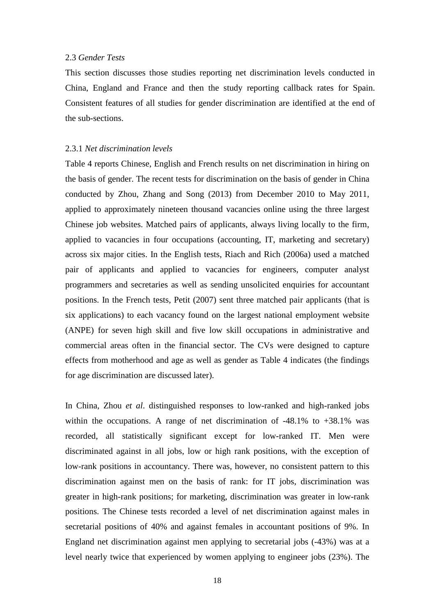#### 2.3 *Gender Tests*

This section discusses those studies reporting net discrimination levels conducted in China, England and France and then the study reporting callback rates for Spain. Consistent features of all studies for gender discrimination are identified at the end of the sub-sections.

#### 2.3.1 *Net discrimination levels*

Table 4 reports Chinese, English and French results on net discrimination in hiring on the basis of gender. The recent tests for discrimination on the basis of gender in China conducted by Zhou, Zhang and Song (2013) from December 2010 to May 2011, applied to approximately nineteen thousand vacancies online using the three largest Chinese job websites. Matched pairs of applicants, always living locally to the firm, applied to vacancies in four occupations (accounting, IT, marketing and secretary) across six major cities. In the English tests, Riach and Rich (2006a) used a matched pair of applicants and applied to vacancies for engineers, computer analyst programmers and secretaries as well as sending unsolicited enquiries for accountant positions. In the French tests, Petit (2007) sent three matched pair applicants (that is six applications) to each vacancy found on the largest national employment website (ANPE) for seven high skill and five low skill occupations in administrative and commercial areas often in the financial sector. The CVs were designed to capture effects from motherhood and age as well as gender as Table 4 indicates (the findings for age discrimination are discussed later).

In China, Zhou *et al*. distinguished responses to low-ranked and high-ranked jobs within the occupations. A range of net discrimination of  $-48.1\%$  to  $+38.1\%$  was recorded, all statistically significant except for low-ranked IT. Men were discriminated against in all jobs, low or high rank positions, with the exception of low-rank positions in accountancy. There was, however, no consistent pattern to this discrimination against men on the basis of rank: for IT jobs, discrimination was greater in high-rank positions; for marketing, discrimination was greater in low-rank positions. The Chinese tests recorded a level of net discrimination against males in secretarial positions of 40% and against females in accountant positions of 9%. In England net discrimination against men applying to secretarial jobs (-43%) was at a level nearly twice that experienced by women applying to engineer jobs (23%). The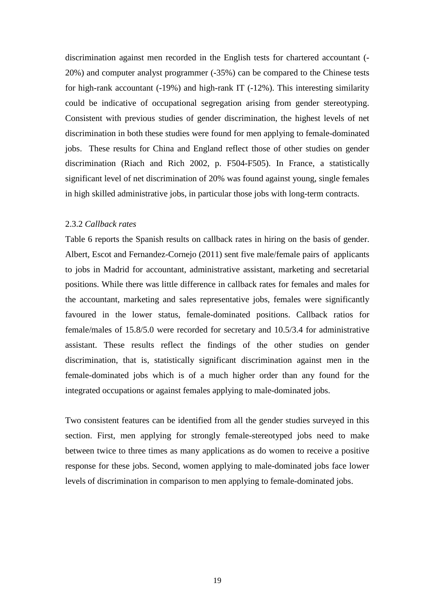discrimination against men recorded in the English tests for chartered accountant (- 20%) and computer analyst programmer (-35%) can be compared to the Chinese tests for high-rank accountant (-19%) and high-rank IT (-12%). This interesting similarity could be indicative of occupational segregation arising from gender stereotyping. Consistent with previous studies of gender discrimination, the highest levels of net discrimination in both these studies were found for men applying to female-dominated jobs. These results for China and England reflect those of other studies on gender discrimination (Riach and Rich 2002, p. F504-F505). In France, a statistically significant level of net discrimination of 20% was found against young, single females in high skilled administrative jobs, in particular those jobs with long-term contracts.

#### 2.3.2 *Callback rates*

Table 6 reports the Spanish results on callback rates in hiring on the basis of gender. Albert, Escot and Fernandez-Cornejo (2011) sent five male/female pairs of applicants to jobs in Madrid for accountant, administrative assistant, marketing and secretarial positions. While there was little difference in callback rates for females and males for the accountant, marketing and sales representative jobs, females were significantly favoured in the lower status, female-dominated positions. Callback ratios for female/males of 15.8/5.0 were recorded for secretary and 10.5/3.4 for administrative assistant. These results reflect the findings of the other studies on gender discrimination, that is, statistically significant discrimination against men in the female-dominated jobs which is of a much higher order than any found for the integrated occupations or against females applying to male-dominated jobs.

Two consistent features can be identified from all the gender studies surveyed in this section. First, men applying for strongly female-stereotyped jobs need to make between twice to three times as many applications as do women to receive a positive response for these jobs. Second, women applying to male-dominated jobs face lower levels of discrimination in comparison to men applying to female-dominated jobs.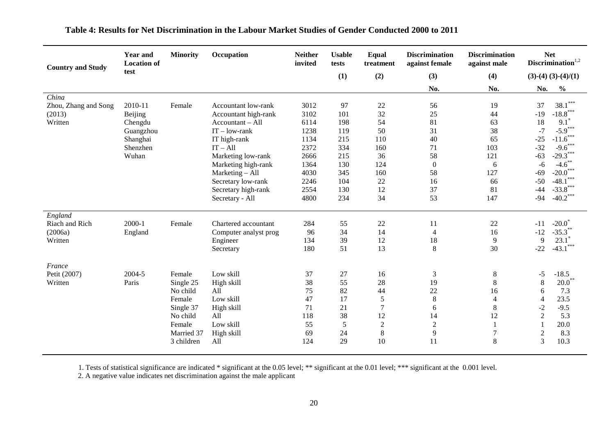| <b>Country and Study</b>                           | <b>Year and</b><br><b>Location of</b>                                       | <b>Minority</b>                                                                                          | Occupation                                                                                                                                                                                                                                       | <b>Neither</b><br>invited                                                                    | <b>Usable</b><br>tests                                                          | Equal<br>treatment                                                       | <b>Discrimination</b><br>against female                                        | <b>Discrimination</b><br>against male                                           | <b>Net</b><br>Discrimination $1,2$                                                                                                                                                                                                                                  |
|----------------------------------------------------|-----------------------------------------------------------------------------|----------------------------------------------------------------------------------------------------------|--------------------------------------------------------------------------------------------------------------------------------------------------------------------------------------------------------------------------------------------------|----------------------------------------------------------------------------------------------|---------------------------------------------------------------------------------|--------------------------------------------------------------------------|--------------------------------------------------------------------------------|---------------------------------------------------------------------------------|---------------------------------------------------------------------------------------------------------------------------------------------------------------------------------------------------------------------------------------------------------------------|
|                                                    | test                                                                        |                                                                                                          |                                                                                                                                                                                                                                                  |                                                                                              | (1)                                                                             | (2)                                                                      | (3)                                                                            | (4)                                                                             | $(3)-(4) (3)-(4)/(1)$                                                                                                                                                                                                                                               |
|                                                    |                                                                             |                                                                                                          |                                                                                                                                                                                                                                                  |                                                                                              |                                                                                 |                                                                          | No.                                                                            | No.                                                                             | No.<br>$\frac{0}{0}$                                                                                                                                                                                                                                                |
| China<br>Zhou, Zhang and Song<br>(2013)<br>Written | 2010-11<br>Beijing<br>Chengdu<br>Guangzhou<br>Shanghai<br>Shenzhen<br>Wuhan | Female                                                                                                   | Accountant low-rank<br>Accountant high-rank<br>Accountant - All<br>$IT - low-rank$<br>IT high-rank<br>$IT - All$<br>Marketing low-rank<br>Marketing high-rank<br>Marketing - All<br>Secretary low-rank<br>Secretary high-rank<br>Secretary - All | 3012<br>3102<br>6114<br>1238<br>1134<br>2372<br>2666<br>1364<br>4030<br>2246<br>2554<br>4800 | 97<br>101<br>198<br>119<br>215<br>334<br>215<br>130<br>345<br>104<br>130<br>234 | 22<br>32<br>54<br>50<br>110<br>160<br>36<br>124<br>160<br>22<br>12<br>34 | 56<br>25<br>81<br>31<br>40<br>71<br>58<br>$\mathbf{0}$<br>58<br>16<br>37<br>53 | 19<br>44<br>63<br>38<br>65<br>103<br>121<br>6<br>127<br>66<br>81<br>147         | $38.1***$<br>37<br>$-18.8***$<br>$-19$<br>$9.1*$<br>18<br>$-5.9***$<br>$-7$<br>$-11.6***$<br>$-25$<br>$-9.6***$<br>$-32$<br>$-29.3***$<br>$-63$<br>$-4.6$ **<br>$-6$<br>$-20.0$ ***<br>$-69$<br>$-48.1***$<br>$-50$<br>$-33.8$ ***<br>$-44$<br>$-40.2$ ***<br>$-94$ |
| England<br>Riach and Rich<br>(2006a)<br>Written    | $2000-1$<br>England                                                         | Female                                                                                                   | Chartered accountant<br>Computer analyst prog<br>Engineer<br>Secretary                                                                                                                                                                           | 284<br>96<br>134<br>180                                                                      | 55<br>34<br>39<br>51                                                            | $22\,$<br>14<br>12<br>13                                                 | 11<br>$\overline{4}$<br>18<br>8                                                | 22<br>16<br>9<br>30                                                             | $-20.0^{\degree}$<br>$-11$<br>$-35.3$ <sup>*</sup><br>$-12$<br>$23.1*$<br>9<br>$-43.1$ ***<br>$-22$                                                                                                                                                                 |
| France<br>Petit (2007)<br>Written                  | 2004-5<br>Paris                                                             | Female<br>Single 25<br>No child<br>Female<br>Single 37<br>No child<br>Female<br>Married 37<br>3 children | Low skill<br>High skill<br>A11<br>Low skill<br>High skill<br>All<br>Low skill<br>High skill<br>All                                                                                                                                               | 37<br>38<br>75<br>47<br>71<br>118<br>55<br>69<br>124                                         | 27<br>55<br>82<br>17<br>21<br>38<br>5<br>24<br>29                               | 16<br>28<br>44<br>5<br>$\tau$<br>12<br>$\overline{2}$<br>$\,8\,$<br>10   | 3<br>19<br>22<br>$\,8\,$<br>6<br>14<br>$\sqrt{2}$<br>9<br>11                   | $\,8\,$<br>$\,8\,$<br>16<br>$\overline{4}$<br>$\,8\,$<br>12<br>1<br>$\tau$<br>8 | $-18.5$<br>$-5$<br>$20.0^{**}$<br>8<br>7.3<br>6<br>23.5<br>$\overline{4}$<br>$-9.5$<br>$-2$<br>5.3<br>$\sqrt{2}$<br>20.0<br>$\mathbf{1}$<br>$\sqrt{2}$<br>8.3<br>3<br>10.3                                                                                          |

# **Table 4: Results for Net Discrimination in the Labour Market Studies of Gender Conducted 2000 to 2011**

1. Tests of statistical significance are indicated \* significant at the 0.05 level; \*\* significant at the 0.01 level; \*\*\* significant at the 0.001 level.

2. A negative value indicates net discrimination against the male applicant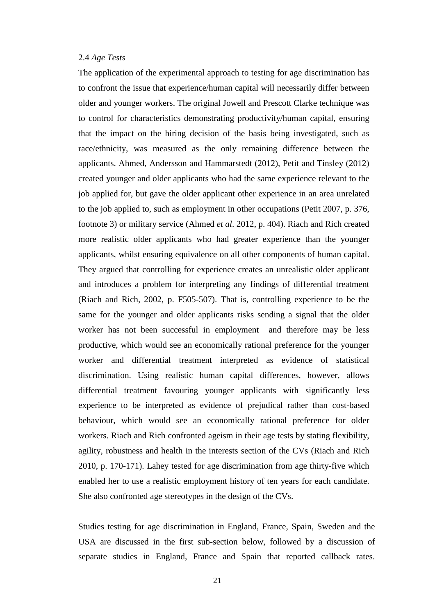#### 2.4 *Age Tests*

The application of the experimental approach to testing for age discrimination has to confront the issue that experience/human capital will necessarily differ between older and younger workers. The original Jowell and Prescott Clarke technique was to control for characteristics demonstrating productivity/human capital, ensuring that the impact on the hiring decision of the basis being investigated, such as race/ethnicity, was measured as the only remaining difference between the applicants. Ahmed, Andersson and Hammarstedt (2012), Petit and Tinsley (2012) created younger and older applicants who had the same experience relevant to the job applied for, but gave the older applicant other experience in an area unrelated to the job applied to, such as employment in other occupations (Petit 2007, p. 376, footnote 3) or military service (Ahmed *et al*. 2012, p. 404). Riach and Rich created more realistic older applicants who had greater experience than the younger applicants, whilst ensuring equivalence on all other components of human capital. They argued that controlling for experience creates an unrealistic older applicant and introduces a problem for interpreting any findings of differential treatment (Riach and Rich, 2002, p. F505-507). That is, controlling experience to be the same for the younger and older applicants risks sending a signal that the older worker has not been successful in employment and therefore may be less productive, which would see an economically rational preference for the younger worker and differential treatment interpreted as evidence of statistical discrimination. Using realistic human capital differences, however, allows differential treatment favouring younger applicants with significantly less experience to be interpreted as evidence of prejudical rather than cost-based behaviour, which would see an economically rational preference for older workers. Riach and Rich confronted ageism in their age tests by stating flexibility, agility, robustness and health in the interests section of the CVs (Riach and Rich 2010, p. 170-171). Lahey tested for age discrimination from age thirty-five which enabled her to use a realistic employment history of ten years for each candidate. She also confronted age stereotypes in the design of the CVs.

Studies testing for age discrimination in England, France, Spain, Sweden and the USA are discussed in the first sub-section below, followed by a discussion of separate studies in England, France and Spain that reported callback rates.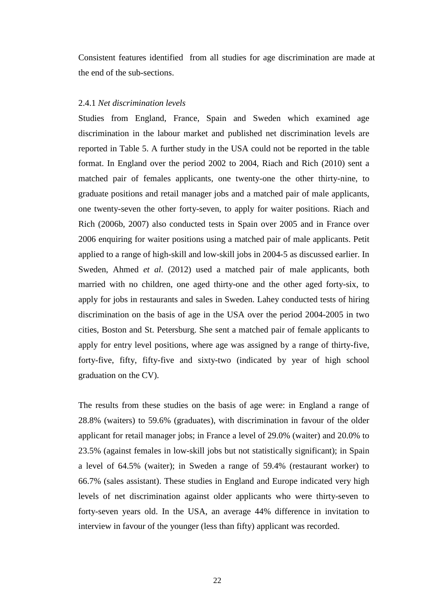Consistent features identified from all studies for age discrimination are made at the end of the sub-sections.

#### 2.4.1 *Net discrimination levels*

Studies from England, France, Spain and Sweden which examined age discrimination in the labour market and published net discrimination levels are reported in Table 5. A further study in the USA could not be reported in the table format. In England over the period 2002 to 2004, Riach and Rich (2010) sent a matched pair of females applicants, one twenty-one the other thirty-nine, to graduate positions and retail manager jobs and a matched pair of male applicants, one twenty-seven the other forty-seven, to apply for waiter positions. Riach and Rich (2006b, 2007) also conducted tests in Spain over 2005 and in France over 2006 enquiring for waiter positions using a matched pair of male applicants. Petit applied to a range of high-skill and low-skill jobs in 2004-5 as discussed earlier. In Sweden, Ahmed *et al*. (2012) used a matched pair of male applicants, both married with no children, one aged thirty-one and the other aged forty-six, to apply for jobs in restaurants and sales in Sweden. Lahey conducted tests of hiring discrimination on the basis of age in the USA over the period 2004-2005 in two cities, Boston and St. Petersburg. She sent a matched pair of female applicants to apply for entry level positions, where age was assigned by a range of thirty-five, forty-five, fifty, fifty-five and sixty-two (indicated by year of high school graduation on the CV).

The results from these studies on the basis of age were: in England a range of 28.8% (waiters) to 59.6% (graduates), with discrimination in favour of the older applicant for retail manager jobs; in France a level of 29.0% (waiter) and 20.0% to 23.5% (against females in low-skill jobs but not statistically significant); in Spain a level of 64.5% (waiter); in Sweden a range of 59.4% (restaurant worker) to 66.7% (sales assistant). These studies in England and Europe indicated very high levels of net discrimination against older applicants who were thirty-seven to forty-seven years old. In the USA, an average 44% difference in invitation to interview in favour of the younger (less than fifty) applicant was recorded.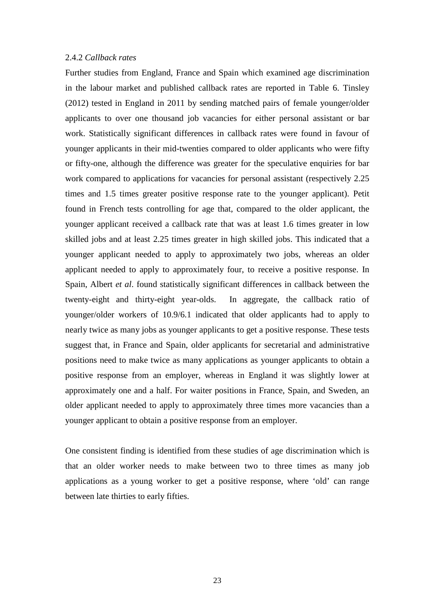#### 2.4.2 *Callback rates*

Further studies from England, France and Spain which examined age discrimination in the labour market and published callback rates are reported in Table 6. Tinsley (2012) tested in England in 2011 by sending matched pairs of female younger/older applicants to over one thousand job vacancies for either personal assistant or bar work. Statistically significant differences in callback rates were found in favour of younger applicants in their mid-twenties compared to older applicants who were fifty or fifty-one, although the difference was greater for the speculative enquiries for bar work compared to applications for vacancies for personal assistant (respectively 2.25 times and 1.5 times greater positive response rate to the younger applicant). Petit found in French tests controlling for age that, compared to the older applicant, the younger applicant received a callback rate that was at least 1.6 times greater in low skilled jobs and at least 2.25 times greater in high skilled jobs. This indicated that a younger applicant needed to apply to approximately two jobs, whereas an older applicant needed to apply to approximately four, to receive a positive response. In Spain, Albert *et al*. found statistically significant differences in callback between the twenty-eight and thirty-eight year-olds. In aggregate, the callback ratio of younger/older workers of 10.9/6.1 indicated that older applicants had to apply to nearly twice as many jobs as younger applicants to get a positive response. These tests suggest that, in France and Spain, older applicants for secretarial and administrative positions need to make twice as many applications as younger applicants to obtain a positive response from an employer, whereas in England it was slightly lower at approximately one and a half. For waiter positions in France, Spain, and Sweden, an older applicant needed to apply to approximately three times more vacancies than a younger applicant to obtain a positive response from an employer.

One consistent finding is identified from these studies of age discrimination which is that an older worker needs to make between two to three times as many job applications as a young worker to get a positive response, where 'old' can range between late thirties to early fifties.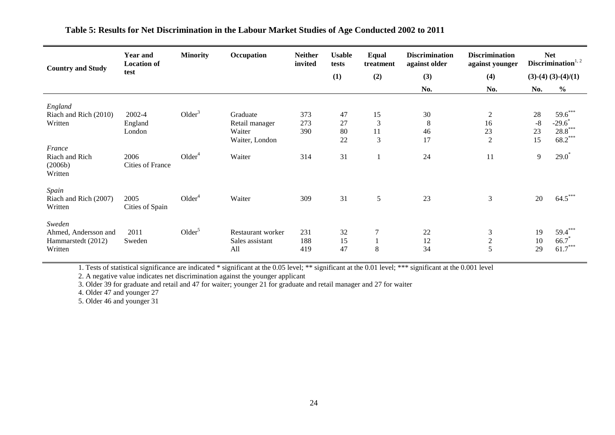| <b>Country and Study</b>                                        | <b>Year and</b><br><b>Location of</b><br>test | <b>Minority</b>    | Occupation                                  | <b>Neither</b><br>invited | <b>Usable</b><br>tests | Equal<br>treatment | <b>Discrimination</b><br>against older | <b>Discrimination</b><br>against younger | <b>Net</b><br>Discrimination $1, 2$ |                              |
|-----------------------------------------------------------------|-----------------------------------------------|--------------------|---------------------------------------------|---------------------------|------------------------|--------------------|----------------------------------------|------------------------------------------|-------------------------------------|------------------------------|
|                                                                 |                                               |                    |                                             |                           | (1)                    | (2)                | (3)                                    | (4)                                      |                                     | $(3)-(4)(3)-(4)/(1)$         |
|                                                                 |                                               |                    |                                             |                           |                        |                    | No.                                    | No.                                      | No.                                 | $\frac{6}{6}$                |
| England                                                         |                                               |                    |                                             |                           |                        |                    |                                        |                                          |                                     |                              |
| Riach and Rich (2010)                                           | 2002-4                                        | Older <sup>3</sup> | Graduate                                    | 373                       | 47                     | 15                 | 30                                     | $\overline{2}$                           | 28                                  | $59.6***$                    |
| Written                                                         | England                                       |                    | Retail manager                              | 273                       | 27                     | 3                  | 8                                      | 16                                       | $-8$                                | $-29.6$                      |
|                                                                 | London                                        |                    | Waiter                                      | 390                       | 80                     | 11                 | 46                                     | 23                                       | 23                                  | $28.8***$                    |
|                                                                 |                                               |                    | Waiter, London                              |                           | 22                     | 3                  | 17                                     | $\overline{2}$                           | 15                                  | $68.2***$                    |
| France<br>Riach and Rich<br>(2006b)<br>Written                  | 2006<br>Cities of France                      | Older <sup>4</sup> | Waiter                                      | 314                       | 31                     |                    | 24                                     | 11                                       | 9                                   | $29.0^*$                     |
| Spain<br>Riach and Rich (2007)<br>Written                       | 2005<br>Cities of Spain                       | Older <sup>4</sup> | Waiter                                      | 309                       | 31                     | 5                  | 23                                     | 3                                        | 20                                  | $64.5***$                    |
| Sweden<br>Ahmed, Andersson and<br>Hammarstedt (2012)<br>Written | 2011<br>Sweden                                | Older <sup>5</sup> | Restaurant worker<br>Sales assistant<br>All | 231<br>188<br>419         | 32<br>15<br>47         | 7<br>8             | 22<br>12<br>34                         | $\mathfrak{Z}$<br>$\overline{c}$<br>5    | 19<br>10<br>29                      | 59.4***<br>66.7<br>$61.7***$ |

## **Table 5: Results for Net Discrimination in the Labour Market Studies of Age Conducted 2002 to 2011**

1. Tests of statistical significance are indicated \* significant at the 0.05 level; \*\* significant at the 0.01 level; \*\*\* significant at the 0.001 level

2. A negative value indicates net discrimination against the younger applicant

3. Older 39 for graduate and retail and 47 for waiter; younger 21 for graduate and retail manager and 27 for waiter

4. Older 47 and younger 27

5. Older 46 and younger 31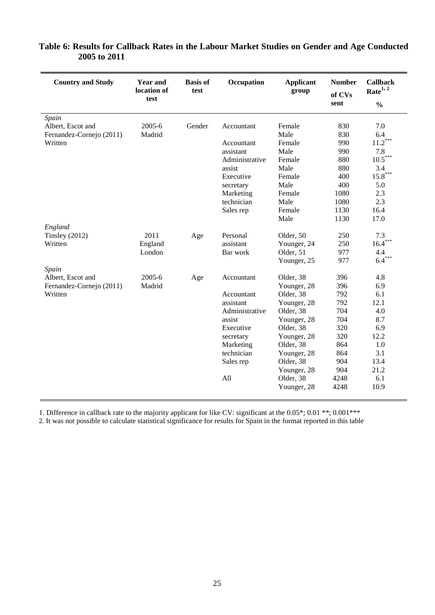| <b>Country and Study</b> | <b>Year and</b><br>location of<br>test | <b>Basis of</b><br>test | Occupation     | <b>Applicant</b><br>group | <b>Number</b><br>of CVs<br>sent | <b>Callback</b><br>Rate <sup>1, 2</sup><br>$\frac{0}{0}$ |
|--------------------------|----------------------------------------|-------------------------|----------------|---------------------------|---------------------------------|----------------------------------------------------------|
| Spain                    |                                        |                         |                |                           |                                 |                                                          |
| Albert, Escot and        | 2005-6                                 | Gender                  | Accountant     | Female                    | 830                             | 7.0                                                      |
| Fernandez-Cornejo (2011) | Madrid                                 |                         |                | Male                      | 830                             | 6.4                                                      |
| Written                  |                                        |                         | Accountant     | Female                    | 990                             | $11.2***$                                                |
|                          |                                        |                         | assistant      | Male                      | 990                             | 7.8                                                      |
|                          |                                        |                         | Administrative | Female                    | 880                             | $10.5***$                                                |
|                          |                                        |                         | assist         | Male                      | 880                             | 3.4                                                      |
|                          |                                        |                         | Executive      | Female                    | 400                             | $15.8***$                                                |
|                          |                                        |                         | secretary      | Male                      | 400                             | 5.0                                                      |
|                          |                                        |                         | Marketing      | Female                    | 1080                            | 2.3                                                      |
|                          |                                        |                         | technician     | Male                      | 1080                            | 2.3                                                      |
|                          |                                        |                         | Sales rep      | Female                    | 1130                            | 16.4                                                     |
|                          |                                        |                         |                | Male                      | 1130                            | 17.0                                                     |
| England                  |                                        |                         |                |                           |                                 |                                                          |
| Tinsley $(2012)$         | 2011                                   | Age                     | Personal       | Older, 50                 | 250                             | 7.3                                                      |
| Written                  | England                                |                         | assistant      | Younger, 24               | 250                             | $16.4***$                                                |
|                          | London                                 |                         | Bar work       | Older, 51                 | 977                             | 4.4                                                      |
|                          |                                        |                         |                | Younger, 25               | 977                             | $6.4***$                                                 |
| Spain                    |                                        |                         |                |                           |                                 |                                                          |
| Albert, Escot and        | 2005-6                                 | Age                     | Accountant     | Older, 38                 | 396                             | 4.8                                                      |
| Fernandez-Cornejo (2011) | Madrid                                 |                         |                | Younger, 28               | 396                             | 6.9                                                      |
| Written                  |                                        |                         | Accountant     | Older, 38                 | 792                             | 6.1                                                      |
|                          |                                        |                         | assistant      | Younger, 28               | 792                             | 12.1                                                     |
|                          |                                        |                         | Administrative | Older, 38                 | 704                             | 4.0                                                      |
|                          |                                        |                         | assist         | Younger, 28               | 704                             | 8.7                                                      |
|                          |                                        |                         | Executive      | Older, 38                 | 320                             | 6.9                                                      |
|                          |                                        |                         | secretary      | Younger, 28               | 320                             | 12.2                                                     |
|                          |                                        |                         | Marketing      | Older, 38                 | 864                             | 1.0                                                      |
|                          |                                        |                         | technician     | Younger, 28               | 864                             | 3.1                                                      |
|                          |                                        |                         | Sales rep      | Older, 38                 | 904                             | 13.4                                                     |
|                          |                                        |                         |                | Younger, 28               | 904                             | 21.2                                                     |
|                          |                                        |                         | All            | Older, 38                 | 4248                            | 6.1                                                      |
|                          |                                        |                         |                | Younger, 28               | 4248                            | 10.9                                                     |

# **Table 6: Results for Callback Rates in the Labour Market Studies on Gender and Age Conducted 2005 to 2011**

1. Difference in callback rate to the majority applicant for like CV: significant at the 0.05\*; 0.01 \*\*; 0.001\*\*\*

2. It was not possible to calculate statistical significance for results for Spain in the format reported in this table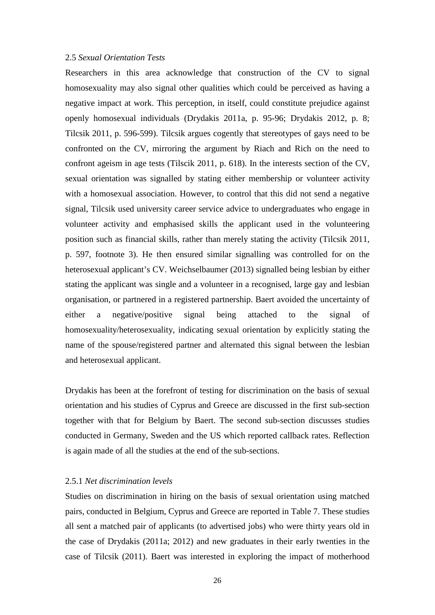#### 2.5 *Sexual Orientation Tests*

Researchers in this area acknowledge that construction of the CV to signal homosexuality may also signal other qualities which could be perceived as having a negative impact at work. This perception, in itself, could constitute prejudice against openly homosexual individuals (Drydakis 2011a, p. 95-96; Drydakis 2012, p. 8; Tilcsik 2011, p. 596-599). Tilcsik argues cogently that stereotypes of gays need to be confronted on the CV, mirroring the argument by Riach and Rich on the need to confront ageism in age tests (Tilscik 2011, p. 618). In the interests section of the CV, sexual orientation was signalled by stating either membership or volunteer activity with a homosexual association. However, to control that this did not send a negative signal, Tilcsik used university career service advice to undergraduates who engage in volunteer activity and emphasised skills the applicant used in the volunteering position such as financial skills, rather than merely stating the activity (Tilcsik 2011, p. 597, footnote 3). He then ensured similar signalling was controlled for on the heterosexual applicant's CV. Weichselbaumer (2013) signalled being lesbian by either stating the applicant was single and a volunteer in a recognised, large gay and lesbian organisation, or partnered in a registered partnership. Baert avoided the uncertainty of either a negative/positive signal being attached to the signal of homosexuality/heterosexuality, indicating sexual orientation by explicitly stating the name of the spouse/registered partner and alternated this signal between the lesbian and heterosexual applicant.

Drydakis has been at the forefront of testing for discrimination on the basis of sexual orientation and his studies of Cyprus and Greece are discussed in the first sub-section together with that for Belgium by Baert. The second sub-section discusses studies conducted in Germany, Sweden and the US which reported callback rates. Reflection is again made of all the studies at the end of the sub-sections.

#### 2.5.1 *Net discrimination levels*

Studies on discrimination in hiring on the basis of sexual orientation using matched pairs, conducted in Belgium, Cyprus and Greece are reported in Table 7. These studies all sent a matched pair of applicants (to advertised jobs) who were thirty years old in the case of Drydakis (2011a; 2012) and new graduates in their early twenties in the case of Tilcsik (2011). Baert was interested in exploring the impact of motherhood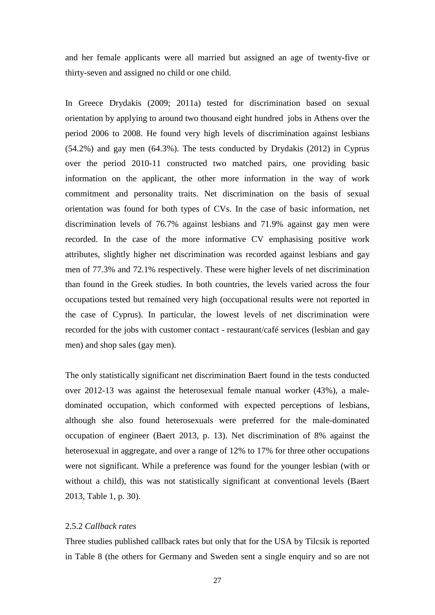and her female applicants were all married but assigned an age of twenty-five or thirty-seven and assigned no child or one child.

In Greece Drydakis (2009; 2011a) tested for discrimination based on sexual orientation by applying to around two thousand eight hundred jobs in Athens over the period 2006 to 2008. He found very high levels of discrimination against lesbians (54.2%) and gay men (64.3%). The tests conducted by Drydakis (2012) in Cyprus over the period 2010-11 constructed two matched pairs, one providing basic information on the applicant, the other more information in the way of work commitment and personality traits. Net discrimination on the basis of sexual orientation was found for both types of CVs. In the case of basic information, net discrimination levels of 76.7% against lesbians and 71.9% against gay men were recorded. In the case of the more informative CV emphasising positive work attributes, slightly higher net discrimination was recorded against lesbians and gay men of 77.3% and 72.1% respectively. These were higher levels of net discrimination than found in the Greek studies. In both countries, the levels varied across the four occupations tested but remained very high (occupational results were not reported in the case of Cyprus). In particular, the lowest levels of net discrimination were recorded for the jobs with customer contact - restaurant/café services (lesbian and gay men) and shop sales (gay men).

The only statistically significant net discrimination Baert found in the tests conducted over 2012-13 was against the heterosexual female manual worker (43%), a maledominated occupation, which conformed with expected perceptions of lesbians, although she also found heterosexuals were preferred for the male-dominated occupation of engineer (Baert 2013, p. 13). Net discrimination of 8% against the heterosexual in aggregate, and over a range of 12% to 17% for three other occupations were not significant. While a preference was found for the younger lesbian (with or without a child), this was not statistically significant at conventional levels (Baert 2013, Table 1, p. 30).

## 2.5.2 *Callback rates*

Three studies published callback rates but only that for the USA by Tilcsik is reported in Table 8 (the others for Germany and Sweden sent a single enquiry and so are not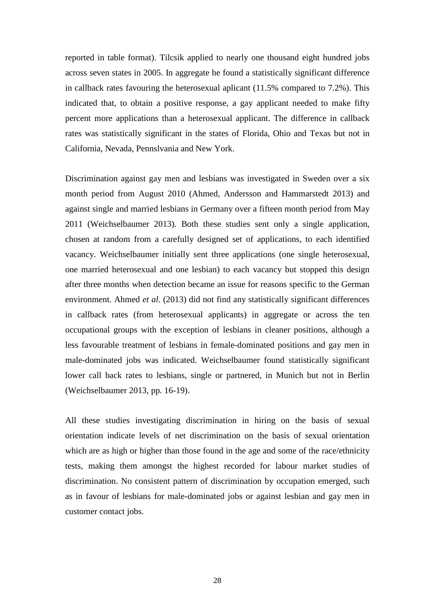reported in table format). Tilcsik applied to nearly one thousand eight hundred jobs across seven states in 2005. In aggregate he found a statistically significant difference in callback rates favouring the heterosexual aplicant (11.5% compared to 7.2%). This indicated that, to obtain a positive response, a gay applicant needed to make fifty percent more applications than a heterosexual applicant. The difference in callback rates was statistically significant in the states of Florida, Ohio and Texas but not in California, Nevada, Pennslvania and New York.

Discrimination against gay men and lesbians was investigated in Sweden over a six month period from August 2010 (Ahmed, Andersson and Hammarstedt 2013) and against single and married lesbians in Germany over a fifteen month period from May 2011 (Weichselbaumer 2013). Both these studies sent only a single application, chosen at random from a carefully designed set of applications, to each identified vacancy. Weichselbaumer initially sent three applications (one single heterosexual, one married heterosexual and one lesbian) to each vacancy but stopped this design after three months when detection became an issue for reasons specific to the German environment. Ahmed *et al*. (2013) did not find any statistically significant differences in callback rates (from heterosexual applicants) in aggregate or across the ten occupational groups with the exception of lesbians in cleaner positions, although a less favourable treatment of lesbians in female-dominated positions and gay men in male-dominated jobs was indicated. Weichselbaumer found statistically significant lower call back rates to lesbians, single or partnered, in Munich but not in Berlin (Weichselbaumer 2013, pp. 16-19).

All these studies investigating discrimination in hiring on the basis of sexual orientation indicate levels of net discrimination on the basis of sexual orientation which are as high or higher than those found in the age and some of the race/ethnicity tests, making them amongst the highest recorded for labour market studies of discrimination. No consistent pattern of discrimination by occupation emerged, such as in favour of lesbians for male-dominated jobs or against lesbian and gay men in customer contact jobs.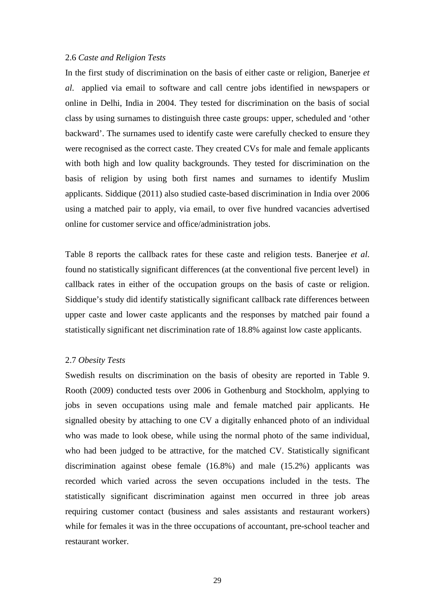#### 2.6 *Caste and Religion Tests*

In the first study of discrimination on the basis of either caste or religion, Banerjee *et al*. applied via email to software and call centre jobs identified in newspapers or online in Delhi, India in 2004. They tested for discrimination on the basis of social class by using surnames to distinguish three caste groups: upper, scheduled and 'other backward'. The surnames used to identify caste were carefully checked to ensure they were recognised as the correct caste. They created CVs for male and female applicants with both high and low quality backgrounds. They tested for discrimination on the basis of religion by using both first names and surnames to identify Muslim applicants. Siddique (2011) also studied caste-based discrimination in India over 2006 using a matched pair to apply, via email, to over five hundred vacancies advertised online for customer service and office/administration jobs.

Table 8 reports the callback rates for these caste and religion tests. Banerjee *et al*. found no statistically significant differences (at the conventional five percent level) in callback rates in either of the occupation groups on the basis of caste or religion. Siddique's study did identify statistically significant callback rate differences between upper caste and lower caste applicants and the responses by matched pair found a statistically significant net discrimination rate of 18.8% against low caste applicants.

#### 2.7 *Obesity Tests*

Swedish results on discrimination on the basis of obesity are reported in Table 9. Rooth (2009) conducted tests over 2006 in Gothenburg and Stockholm, applying to jobs in seven occupations using male and female matched pair applicants. He signalled obesity by attaching to one CV a digitally enhanced photo of an individual who was made to look obese, while using the normal photo of the same individual, who had been judged to be attractive, for the matched CV. Statistically significant discrimination against obese female (16.8%) and male (15.2%) applicants was recorded which varied across the seven occupations included in the tests. The statistically significant discrimination against men occurred in three job areas requiring customer contact (business and sales assistants and restaurant workers) while for females it was in the three occupations of accountant, pre-school teacher and restaurant worker.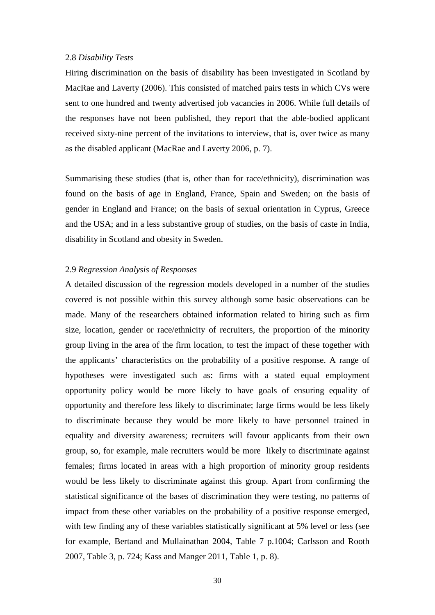#### 2.8 *Disability Tests*

Hiring discrimination on the basis of disability has been investigated in Scotland by MacRae and Laverty (2006). This consisted of matched pairs tests in which CVs were sent to one hundred and twenty advertised job vacancies in 2006. While full details of the responses have not been published, they report that the able-bodied applicant received sixty-nine percent of the invitations to interview, that is, over twice as many as the disabled applicant (MacRae and Laverty 2006, p. 7).

Summarising these studies (that is, other than for race/ethnicity), discrimination was found on the basis of age in England, France, Spain and Sweden; on the basis of gender in England and France; on the basis of sexual orientation in Cyprus, Greece and the USA; and in a less substantive group of studies, on the basis of caste in India, disability in Scotland and obesity in Sweden.

#### 2.9 *Regression Analysis of Responses*

A detailed discussion of the regression models developed in a number of the studies covered is not possible within this survey although some basic observations can be made. Many of the researchers obtained information related to hiring such as firm size, location, gender or race/ethnicity of recruiters, the proportion of the minority group living in the area of the firm location, to test the impact of these together with the applicants' characteristics on the probability of a positive response. A range of hypotheses were investigated such as: firms with a stated equal employment opportunity policy would be more likely to have goals of ensuring equality of opportunity and therefore less likely to discriminate; large firms would be less likely to discriminate because they would be more likely to have personnel trained in equality and diversity awareness; recruiters will favour applicants from their own group, so, for example, male recruiters would be more likely to discriminate against females; firms located in areas with a high proportion of minority group residents would be less likely to discriminate against this group. Apart from confirming the statistical significance of the bases of discrimination they were testing, no patterns of impact from these other variables on the probability of a positive response emerged, with few finding any of these variables statistically significant at 5% level or less (see for example, Bertand and Mullainathan 2004, Table 7 p.1004; Carlsson and Rooth 2007, Table 3, p. 724; Kass and Manger 2011, Table 1, p. 8).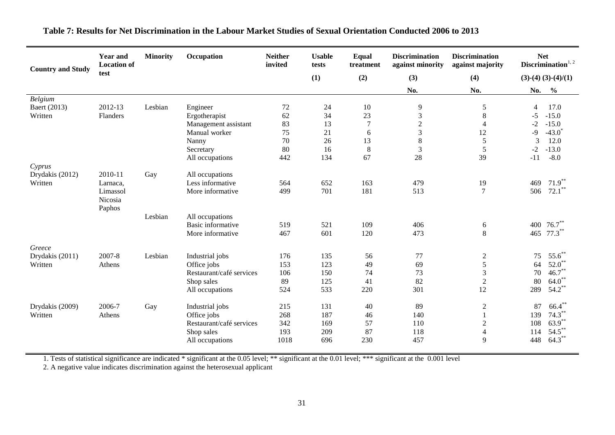| <b>Country and Study</b> | Occupation<br><b>Year and</b><br><b>Minority</b><br><b>Location of</b> |         |                          | <b>Neither</b><br>invited | <b>Usable</b><br>tests | <b>Equal</b><br>treatment | <b>Discrimination</b><br>against minority | <b>Discrimination</b><br>against majority | <b>Net</b><br>Discrimination $1, 2$ |                      |
|--------------------------|------------------------------------------------------------------------|---------|--------------------------|---------------------------|------------------------|---------------------------|-------------------------------------------|-------------------------------------------|-------------------------------------|----------------------|
|                          | test                                                                   |         |                          |                           | (1)                    | (2)                       | (3)                                       | (4)                                       |                                     | $(3)-(4)(3)-(4)/(1)$ |
|                          |                                                                        |         |                          |                           |                        |                           | No.                                       | No.                                       | No.                                 | $\frac{0}{0}$        |
| Belgium                  |                                                                        |         |                          |                           |                        |                           |                                           |                                           |                                     |                      |
| Baert (2013)             | 2012-13                                                                | Lesbian | Engineer                 | 72                        | 24                     | 10                        | $\overline{9}$                            | $\sqrt{5}$                                | $\overline{4}$                      | 17.0                 |
| Written                  | Flanders                                                               |         | Ergotherapist            | 62                        | 34                     | 23                        | $\mathfrak{Z}$                            | $\,8\,$                                   | $-5$                                | $-15.0$              |
|                          |                                                                        |         | Management assistant     | 83                        | 13                     | $\tau$                    | $\sqrt{2}$                                | $\overline{4}$                            | $-2$                                | $-15.0$              |
|                          |                                                                        |         | Manual worker            | 75                        | 21                     | 6                         | $\mathfrak{Z}$                            | 12                                        | $-9$                                | $-43.0$ <sup>*</sup> |
|                          |                                                                        |         | Nanny                    | 70                        | 26                     | 13                        | 8                                         | 5                                         | 3                                   | 12.0                 |
|                          |                                                                        |         | Secretary                | 80                        | 16                     | $\,8\,$                   | $\mathfrak{Z}$                            | 5                                         | $-2$                                | $-13.0$              |
|                          |                                                                        |         | All occupations          | 442                       | 134                    | 67                        | 28                                        | 39                                        | $-11$                               | $-8.0$               |
| Cyprus                   |                                                                        |         |                          |                           |                        |                           |                                           |                                           |                                     |                      |
| Drydakis (2012)          | 2010-11                                                                | Gay     | All occupations          |                           |                        |                           |                                           |                                           |                                     |                      |
| Written                  | Larnaca,                                                               |         | Less informative         | 564                       | 652                    | 163                       | 479                                       | 19                                        | 469                                 | $71.9***$            |
|                          | Limassol                                                               |         | More informative         | 499                       | 701                    | 181                       | 513                                       | $\overline{7}$                            | 506                                 | $72.1***$            |
|                          | Nicosia<br>Paphos                                                      |         |                          |                           |                        |                           |                                           |                                           |                                     |                      |
|                          |                                                                        | Lesbian | All occupations          |                           |                        |                           |                                           |                                           |                                     |                      |
|                          |                                                                        |         | Basic informative        | 519                       | 521                    | 109                       | 406                                       | 6                                         | 400                                 | $76.7***$            |
|                          |                                                                        |         | More informative         | 467                       | 601                    | 120                       | 473                                       | 8                                         | 465                                 | $77.3***$            |
| Greece                   |                                                                        |         |                          |                           |                        |                           |                                           |                                           |                                     |                      |
| Drydakis (2011)          | 2007-8                                                                 | Lesbian | Industrial jobs          | 176                       | 135                    | 56                        | 77                                        | $\overline{c}$                            | 75                                  | $55.6^*$             |
| Written                  | Athens                                                                 |         | Office jobs              | 153                       | 123                    | 49                        | 69                                        | 5                                         | 64                                  | $52.0^*$             |
|                          |                                                                        |         | Restaurant/café services | 106                       | 150                    | 74                        | 73                                        | 3                                         | 70                                  | $46.7$ **            |
|                          |                                                                        |         | Shop sales               | 89                        | 125                    | 41                        | 82                                        | $\overline{2}$                            | 80                                  | $64.0$ **            |
|                          |                                                                        |         | All occupations          | 524                       | 533                    | 220                       | 301                                       | 12                                        | 289                                 | $54.2***$            |
| Drydakis (2009)          | 2006-7                                                                 | Gay     | Industrial jobs          | 215                       | 131                    | 40                        | 89                                        | $\mathbf{2}$                              | 87                                  | $66.4***$            |
| Written                  | Athens                                                                 |         | Office jobs              | 268                       | 187                    | 46                        | 140                                       | $\mathbf{1}$                              | 139                                 | $74.3***$            |
|                          |                                                                        |         | Restaurant/café services | 342                       | 169                    | 57                        | 110                                       | $\sqrt{2}$                                | 108                                 | $63.9^{**}$          |
|                          |                                                                        |         | Shop sales               | 193                       | 209                    | 87                        | 118                                       | $\overline{4}$                            | 114                                 | $54.5***$            |
|                          |                                                                        |         | All occupations          | 1018                      | 696                    | 230                       | 457                                       | 9                                         | 448                                 | $64.3***$            |
|                          |                                                                        |         |                          |                           |                        |                           |                                           |                                           |                                     |                      |

# **Table 7: Results for Net Discrimination in the Labour Market Studies of Sexual Orientation Conducted 2006 to 2013**

1. Tests of statistical significance are indicated \* significant at the 0.05 level; \*\* significant at the 0.01 level; \*\*\* significant at the 0.001 level

2. A negative value indicates discrimination against the heterosexual applicant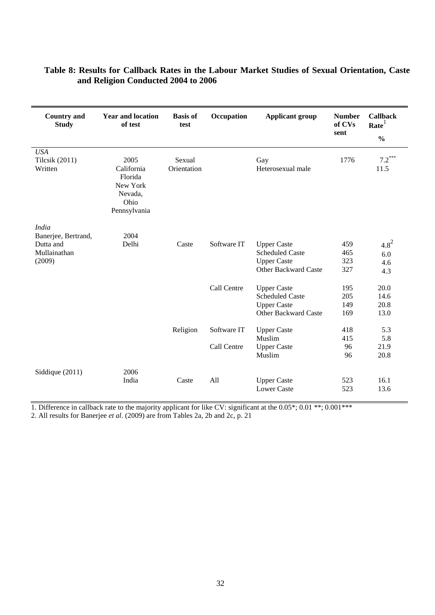| <b>Country and</b><br><b>Study</b> | <b>Year and location</b><br>of test                                          | <b>Basis of</b><br>test | Occupation  | <b>Applicant group</b>      | <b>Number</b><br>of CVs<br>sent | <b>Callback</b><br>Rate <sup>1</sup><br>$\frac{0}{0}$ |
|------------------------------------|------------------------------------------------------------------------------|-------------------------|-------------|-----------------------------|---------------------------------|-------------------------------------------------------|
| <b>USA</b>                         |                                                                              |                         |             |                             |                                 |                                                       |
| <b>Tilcsik</b> (2011)<br>Written   | 2005<br>California<br>Florida<br>New York<br>Nevada,<br>Ohio<br>Pennsylvania | Sexual<br>Orientation   |             | Gay<br>Heterosexual male    | 1776                            | $7.2***$<br>11.5                                      |
| <b>India</b>                       |                                                                              |                         |             |                             |                                 |                                                       |
| Banerjee, Bertrand,                | 2004                                                                         |                         |             |                             |                                 |                                                       |
| Dutta and                          | Delhi                                                                        | Caste                   | Software IT | <b>Upper Caste</b>          | 459                             | $4.8^{2}$                                             |
| Mullainathan                       |                                                                              |                         |             | <b>Scheduled Caste</b>      | 465                             | 6.0                                                   |
| (2009)                             |                                                                              |                         |             | <b>Upper Caste</b>          | 323                             | 4.6                                                   |
|                                    |                                                                              |                         |             | <b>Other Backward Caste</b> | 327                             | 4.3                                                   |
|                                    |                                                                              |                         | Call Centre | <b>Upper Caste</b>          | 195                             | 20.0                                                  |
|                                    |                                                                              |                         |             | <b>Scheduled Caste</b>      | 205                             | 14.6                                                  |
|                                    |                                                                              |                         |             | <b>Upper Caste</b>          | 149                             | 20.8                                                  |
|                                    |                                                                              |                         |             | <b>Other Backward Caste</b> | 169                             | 13.0                                                  |
|                                    |                                                                              | Religion                | Software IT | <b>Upper Caste</b>          | 418                             | 5.3                                                   |
|                                    |                                                                              |                         |             | Muslim                      | 415                             | 5.8                                                   |
|                                    |                                                                              |                         | Call Centre | <b>Upper Caste</b>          | 96                              | 21.9                                                  |
|                                    |                                                                              |                         |             | Muslim                      | 96                              | 20.8                                                  |
| Siddique (2011)                    | 2006                                                                         |                         |             |                             |                                 |                                                       |
|                                    | India                                                                        | Caste                   | All         | <b>Upper Caste</b>          | 523                             | 16.1                                                  |
|                                    |                                                                              |                         |             | <b>Lower Caste</b>          | 523                             | 13.6                                                  |

# **Table 8: Results for Callback Rates in the Labour Market Studies of Sexual Orientation, Caste and Religion Conducted 2004 to 2006**

1. Difference in callback rate to the majority applicant for like CV: significant at the  $0.05^*; 0.01^{**}; 0.001^{***}$ 

2. All results for Banerjee *et al*. (2009) are from Tables 2a, 2b and 2c, p. 21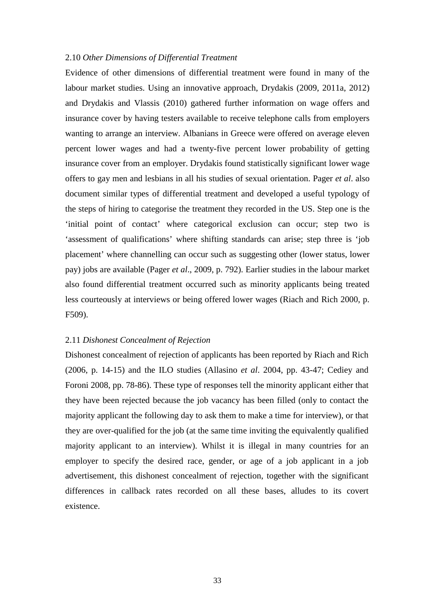#### 2.10 *Other Dimensions of Differential Treatment*

Evidence of other dimensions of differential treatment were found in many of the labour market studies. Using an innovative approach, Drydakis (2009, 2011a, 2012) and Drydakis and Vlassis (2010) gathered further information on wage offers and insurance cover by having testers available to receive telephone calls from employers wanting to arrange an interview. Albanians in Greece were offered on average eleven percent lower wages and had a twenty-five percent lower probability of getting insurance cover from an employer. Drydakis found statistically significant lower wage offers to gay men and lesbians in all his studies of sexual orientation. Pager *et al*. also document similar types of differential treatment and developed a useful typology of the steps of hiring to categorise the treatment they recorded in the US. Step one is the 'initial point of contact' where categorical exclusion can occur; step two is 'assessment of qualifications' where shifting standards can arise; step three is 'job placement' where channelling can occur such as suggesting other (lower status, lower pay) jobs are available (Pager *et al*., 2009, p. 792). Earlier studies in the labour market also found differential treatment occurred such as minority applicants being treated less courteously at interviews or being offered lower wages (Riach and Rich 2000, p. F509).

#### 2.11 *Dishonest Concealment of Rejection*

Dishonest concealment of rejection of applicants has been reported by Riach and Rich (2006, p. 14-15) and the ILO studies (Allasino *et al*. 2004, pp. 43-47; Cediey and Foroni 2008, pp. 78-86). These type of responses tell the minority applicant either that they have been rejected because the job vacancy has been filled (only to contact the majority applicant the following day to ask them to make a time for interview), or that they are over-qualified for the job (at the same time inviting the equivalently qualified majority applicant to an interview). Whilst it is illegal in many countries for an employer to specify the desired race, gender, or age of a job applicant in a job advertisement, this dishonest concealment of rejection, together with the significant differences in callback rates recorded on all these bases, alludes to its covert existence.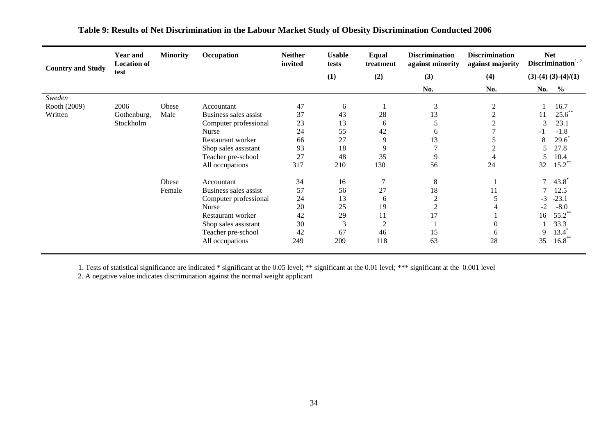| <b>Country and Study</b> | <b>Year and</b><br><b>Location of</b> | <b>Minority</b> | Occupation            | <b>Neither</b><br>invited | <b>Usable</b><br>tests | Equal<br>treatment | <b>Discrimination</b><br>against minority | <b>Discrimination</b><br>against majority | <b>Net</b> | Discrimination <sup><math>1, 2</math></sup> |
|--------------------------|---------------------------------------|-----------------|-----------------------|---------------------------|------------------------|--------------------|-------------------------------------------|-------------------------------------------|------------|---------------------------------------------|
|                          | test                                  |                 |                       |                           | (1)                    | (2)                | (3)                                       | (4)                                       |            | $(3)-(4) (3)-(4)/(1)$                       |
|                          |                                       |                 |                       |                           |                        |                    | No.                                       | No.                                       | No.        | $\frac{6}{6}$                               |
| Sweden                   |                                       |                 |                       |                           |                        |                    |                                           |                                           |            |                                             |
| Rooth (2009)             | 2006                                  | Obese           | Accountant            | 47                        | 6                      |                    | 3                                         | $\overline{c}$                            |            | 16.7                                        |
| Written                  | Gothenburg,                           | Male            | Business sales assist | 37                        | 43                     | 28                 | 13                                        | $\overline{2}$                            | 11         | $25.6^{\degree}$                            |
|                          | Stockholm                             |                 | Computer professional | 23                        | 13                     | 6                  | 5                                         | $\overline{c}$                            | 3          | 23.1                                        |
|                          |                                       |                 | Nurse                 | 24                        | 55                     | 42                 | 6                                         |                                           | -1         | $-1.8$                                      |
|                          |                                       |                 | Restaurant worker     | 66                        | 27                     | 9                  | 13                                        |                                           | 8          | 29.6                                        |
|                          |                                       |                 | Shop sales assistant  | 93                        | 18                     | 9                  | $\mathbf{r}$                              | ◠                                         | 5          | 27.8                                        |
|                          |                                       |                 | Teacher pre-school    | 27                        | 48                     | 35                 | 9                                         | 4                                         | 5          | 10.4                                        |
|                          |                                       |                 | All occupations       | 317                       | 210                    | 130                | 56                                        | 24                                        | 32         | $15.2$ **                                   |
|                          |                                       | Obese           | Accountant            | 34                        | 16                     |                    | 8                                         | Л                                         | $\tau$     | $43.8^{\circ}$                              |
|                          |                                       | Female          | Business sales assist | 57                        | 56                     | 27                 | 18                                        | 11                                        |            | 12.5                                        |
|                          |                                       |                 | Computer professional | 24                        | 13                     | 6                  | $\overline{2}$                            | 5                                         | -3         | $-23.1$                                     |
|                          |                                       |                 | Nurse                 | 20                        | 25                     | 19                 | $\overline{2}$                            |                                           | $-2$       | $-8.0$                                      |
|                          |                                       |                 | Restaurant worker     | 42                        | 29                     | 11                 | 17                                        |                                           | 16         | $55.2$ **                                   |
|                          |                                       |                 | Shop sales assistant  | 30                        | 3                      | $\overline{2}$     |                                           | $\overline{0}$                            |            | 33.3                                        |
|                          |                                       |                 | Teacher pre-school    | 42                        | 67                     | 46                 | 15                                        | 6                                         | 9          | $13.4*$                                     |
|                          |                                       |                 | All occupations       | 249                       | 209                    | 118                | 63                                        | 28                                        | 35         | $16.8***$                                   |

# **Table 9: Results of Net Discrimination in the Labour Market Study of Obesity Discrimination Conducted 2006**

1. Tests of statistical significance are indicated \* significant at the 0.05 level; \*\* significant at the 0.01 level; \*\*\* significant at the 0.001 level

2. A negative value indicates discrimination against the normal weight applicant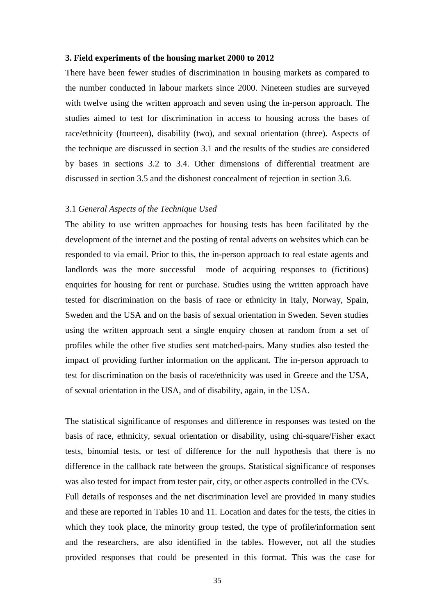#### **3. Field experiments of the housing market 2000 to 2012**

There have been fewer studies of discrimination in housing markets as compared to the number conducted in labour markets since 2000. Nineteen studies are surveyed with twelve using the written approach and seven using the in-person approach. The studies aimed to test for discrimination in access to housing across the bases of race/ethnicity (fourteen), disability (two), and sexual orientation (three). Aspects of the technique are discussed in section 3.1 and the results of the studies are considered by bases in sections 3.2 to 3.4. Other dimensions of differential treatment are discussed in section 3.5 and the dishonest concealment of rejection in section 3.6.

#### 3.1 *General Aspects of the Technique Used*

The ability to use written approaches for housing tests has been facilitated by the development of the internet and the posting of rental adverts on websites which can be responded to via email. Prior to this, the in-person approach to real estate agents and landlords was the more successful mode of acquiring responses to (fictitious) enquiries for housing for rent or purchase. Studies using the written approach have tested for discrimination on the basis of race or ethnicity in Italy, Norway, Spain, Sweden and the USA and on the basis of sexual orientation in Sweden. Seven studies using the written approach sent a single enquiry chosen at random from a set of profiles while the other five studies sent matched-pairs. Many studies also tested the impact of providing further information on the applicant. The in-person approach to test for discrimination on the basis of race/ethnicity was used in Greece and the USA, of sexual orientation in the USA, and of disability, again, in the USA.

The statistical significance of responses and difference in responses was tested on the basis of race, ethnicity, sexual orientation or disability, using chi-square/Fisher exact tests, binomial tests, or test of difference for the null hypothesis that there is no difference in the callback rate between the groups. Statistical significance of responses was also tested for impact from tester pair, city, or other aspects controlled in the CVs. Full details of responses and the net discrimination level are provided in many studies and these are reported in Tables 10 and 11. Location and dates for the tests, the cities in which they took place, the minority group tested, the type of profile/information sent and the researchers, are also identified in the tables. However, not all the studies provided responses that could be presented in this format. This was the case for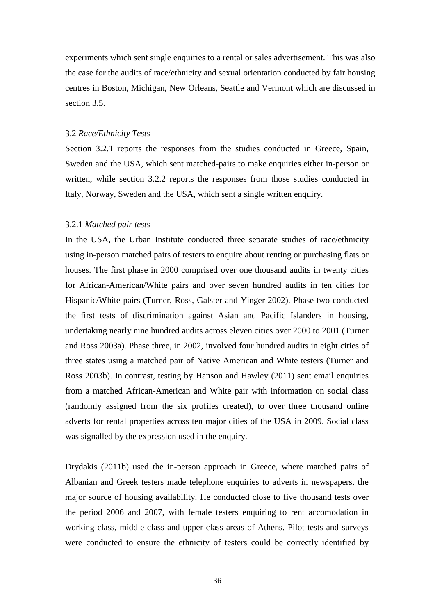experiments which sent single enquiries to a rental or sales advertisement. This was also the case for the audits of race/ethnicity and sexual orientation conducted by fair housing centres in Boston, Michigan, New Orleans, Seattle and Vermont which are discussed in section 3.5

#### 3.2 *Race/Ethnicity Tests*

Section 3.2.1 reports the responses from the studies conducted in Greece, Spain, Sweden and the USA, which sent matched-pairs to make enquiries either in-person or written, while section 3.2.2 reports the responses from those studies conducted in Italy, Norway, Sweden and the USA, which sent a single written enquiry.

#### 3.2.1 *Matched pair tests*

In the USA, the Urban Institute conducted three separate studies of race/ethnicity using in-person matched pairs of testers to enquire about renting or purchasing flats or houses. The first phase in 2000 comprised over one thousand audits in twenty cities for African-American/White pairs and over seven hundred audits in ten cities for Hispanic/White pairs (Turner, Ross, Galster and Yinger 2002). Phase two conducted the first tests of discrimination against Asian and Pacific Islanders in housing, undertaking nearly nine hundred audits across eleven cities over 2000 to 2001 (Turner and Ross 2003a). Phase three, in 2002, involved four hundred audits in eight cities of three states using a matched pair of Native American and White testers (Turner and Ross 2003b). In contrast, testing by Hanson and Hawley (2011) sent email enquiries from a matched African-American and White pair with information on social class (randomly assigned from the six profiles created), to over three thousand online adverts for rental properties across ten major cities of the USA in 2009. Social class was signalled by the expression used in the enquiry.

Drydakis (2011b) used the in-person approach in Greece, where matched pairs of Albanian and Greek testers made telephone enquiries to adverts in newspapers, the major source of housing availability. He conducted close to five thousand tests over the period 2006 and 2007, with female testers enquiring to rent accomodation in working class, middle class and upper class areas of Athens. Pilot tests and surveys were conducted to ensure the ethnicity of testers could be correctly identified by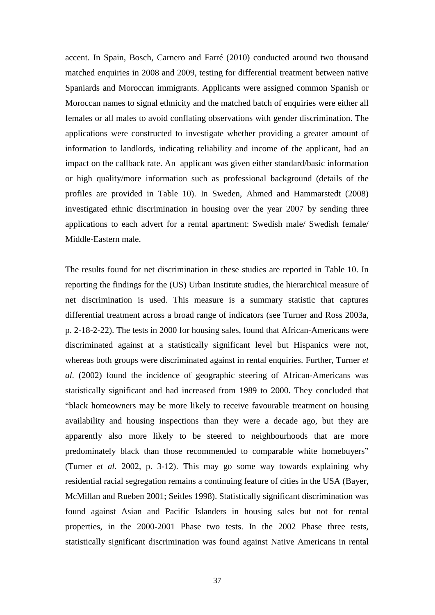accent. In Spain, Bosch, Carnero and Farré (2010) conducted around two thousand matched enquiries in 2008 and 2009, testing for differential treatment between native Spaniards and Moroccan immigrants. Applicants were assigned common Spanish or Moroccan names to signal ethnicity and the matched batch of enquiries were either all females or all males to avoid conflating observations with gender discrimination. The applications were constructed to investigate whether providing a greater amount of information to landlords, indicating reliability and income of the applicant, had an impact on the callback rate. An applicant was given either standard/basic information or high quality/more information such as professional background (details of the profiles are provided in Table 10). In Sweden, Ahmed and Hammarstedt (2008) investigated ethnic discrimination in housing over the year 2007 by sending three applications to each advert for a rental apartment: Swedish male/ Swedish female/ Middle-Eastern male.

The results found for net discrimination in these studies are reported in Table 10. In reporting the findings for the (US) Urban Institute studies, the hierarchical measure of net discrimination is used. This measure is a summary statistic that captures differential treatment across a broad range of indicators (see Turner and Ross 2003a, p. 2-18-2-22). The tests in 2000 for housing sales, found that African-Americans were discriminated against at a statistically significant level but Hispanics were not, whereas both groups were discriminated against in rental enquiries. Further, Turner *et al*. (2002) found the incidence of geographic steering of African-Americans was statistically significant and had increased from 1989 to 2000. They concluded that "black homeowners may be more likely to receive favourable treatment on housing availability and housing inspections than they were a decade ago, but they are apparently also more likely to be steered to neighbourhoods that are more predominately black than those recommended to comparable white homebuyers" (Turner *et al*. 2002, p. 3-12). This may go some way towards explaining why residential racial segregation remains a continuing feature of cities in the USA (Bayer, McMillan and Rueben 2001; Seitles 1998). Statistically significant discrimination was found against Asian and Pacific Islanders in housing sales but not for rental properties, in the 2000-2001 Phase two tests. In the 2002 Phase three tests, statistically significant discrimination was found against Native Americans in rental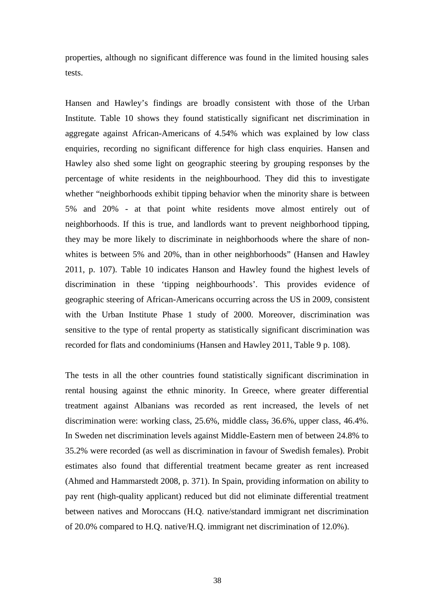properties, although no significant difference was found in the limited housing sales tests.

Hansen and Hawley's findings are broadly consistent with those of the Urban Institute. Table 10 shows they found statistically significant net discrimination in aggregate against African-Americans of 4.54% which was explained by low class enquiries, recording no significant difference for high class enquiries. Hansen and Hawley also shed some light on geographic steering by grouping responses by the percentage of white residents in the neighbourhood. They did this to investigate whether "neighborhoods exhibit tipping behavior when the minority share is between 5% and 20% - at that point white residents move almost entirely out of neighborhoods. If this is true, and landlords want to prevent neighborhood tipping, they may be more likely to discriminate in neighborhoods where the share of nonwhites is between 5% and 20%, than in other neighborhoods" (Hansen and Hawley 2011, p. 107). Table 10 indicates Hanson and Hawley found the highest levels of discrimination in these 'tipping neighbourhoods'. This provides evidence of geographic steering of African-Americans occurring across the US in 2009, consistent with the Urban Institute Phase 1 study of 2000. Moreover, discrimination was sensitive to the type of rental property as statistically significant discrimination was recorded for flats and condominiums (Hansen and Hawley 2011, Table 9 p. 108).

The tests in all the other countries found statistically significant discrimination in rental housing against the ethnic minority. In Greece, where greater differential treatment against Albanians was recorded as rent increased, the levels of net discrimination were: working class, 25.6%, middle class, 36.6%, upper class, 46.4%. In Sweden net discrimination levels against Middle-Eastern men of between 24.8% to 35.2% were recorded (as well as discrimination in favour of Swedish females). Probit estimates also found that differential treatment became greater as rent increased (Ahmed and Hammarstedt 2008, p. 371). In Spain, providing information on ability to pay rent (high-quality applicant) reduced but did not eliminate differential treatment between natives and Moroccans (H.Q. native/standard immigrant net discrimination of 20.0% compared to H.Q. native/H.Q. immigrant net discrimination of 12.0%).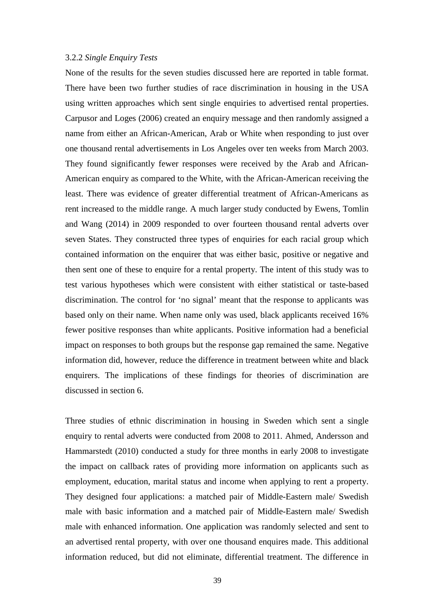#### 3.2.2 *Single Enquiry Tests*

None of the results for the seven studies discussed here are reported in table format. There have been two further studies of race discrimination in housing in the USA using written approaches which sent single enquiries to advertised rental properties. Carpusor and Loges (2006) created an enquiry message and then randomly assigned a name from either an African-American, Arab or White when responding to just over one thousand rental advertisements in Los Angeles over ten weeks from March 2003. They found significantly fewer responses were received by the Arab and African-American enquiry as compared to the White, with the African-American receiving the least. There was evidence of greater differential treatment of African-Americans as rent increased to the middle range. A much larger study conducted by Ewens, Tomlin and Wang (2014) in 2009 responded to over fourteen thousand rental adverts over seven States. They constructed three types of enquiries for each racial group which contained information on the enquirer that was either basic, positive or negative and then sent one of these to enquire for a rental property. The intent of this study was to test various hypotheses which were consistent with either statistical or taste-based discrimination. The control for 'no signal' meant that the response to applicants was based only on their name. When name only was used, black applicants received 16% fewer positive responses than white applicants. Positive information had a beneficial impact on responses to both groups but the response gap remained the same. Negative information did, however, reduce the difference in treatment between white and black enquirers. The implications of these findings for theories of discrimination are discussed in section 6.

Three studies of ethnic discrimination in housing in Sweden which sent a single enquiry to rental adverts were conducted from 2008 to 2011. Ahmed, Andersson and Hammarstedt (2010) conducted a study for three months in early 2008 to investigate the impact on callback rates of providing more information on applicants such as employment, education, marital status and income when applying to rent a property. They designed four applications: a matched pair of Middle-Eastern male/ Swedish male with basic information and a matched pair of Middle-Eastern male/ Swedish male with enhanced information. One application was randomly selected and sent to an advertised rental property, with over one thousand enquires made. This additional information reduced, but did not eliminate, differential treatment. The difference in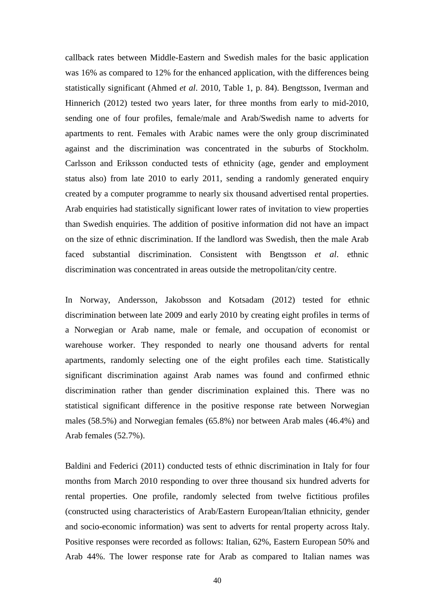callback rates between Middle-Eastern and Swedish males for the basic application was 16% as compared to 12% for the enhanced application, with the differences being statistically significant (Ahmed *et al*. 2010, Table 1, p. 84). Bengtsson, Iverman and Hinnerich (2012) tested two years later, for three months from early to mid-2010, sending one of four profiles, female/male and Arab/Swedish name to adverts for apartments to rent. Females with Arabic names were the only group discriminated against and the discrimination was concentrated in the suburbs of Stockholm. Carlsson and Eriksson conducted tests of ethnicity (age, gender and employment status also) from late 2010 to early 2011, sending a randomly generated enquiry created by a computer programme to nearly six thousand advertised rental properties. Arab enquiries had statistically significant lower rates of invitation to view properties than Swedish enquiries. The addition of positive information did not have an impact on the size of ethnic discrimination. If the landlord was Swedish, then the male Arab faced substantial discrimination. Consistent with Bengtsson *et al*. ethnic discrimination was concentrated in areas outside the metropolitan/city centre.

In Norway, Andersson, Jakobsson and Kotsadam (2012) tested for ethnic discrimination between late 2009 and early 2010 by creating eight profiles in terms of a Norwegian or Arab name, male or female, and occupation of economist or warehouse worker. They responded to nearly one thousand adverts for rental apartments, randomly selecting one of the eight profiles each time. Statistically significant discrimination against Arab names was found and confirmed ethnic discrimination rather than gender discrimination explained this. There was no statistical significant difference in the positive response rate between Norwegian males (58.5%) and Norwegian females (65.8%) nor between Arab males (46.4%) and Arab females (52.7%).

Baldini and Federici (2011) conducted tests of ethnic discrimination in Italy for four months from March 2010 responding to over three thousand six hundred adverts for rental properties. One profile, randomly selected from twelve fictitious profiles (constructed using characteristics of Arab/Eastern European/Italian ethnicity, gender and socio-economic information) was sent to adverts for rental property across Italy. Positive responses were recorded as follows: Italian, 62%, Eastern European 50% and Arab 44%. The lower response rate for Arab as compared to Italian names was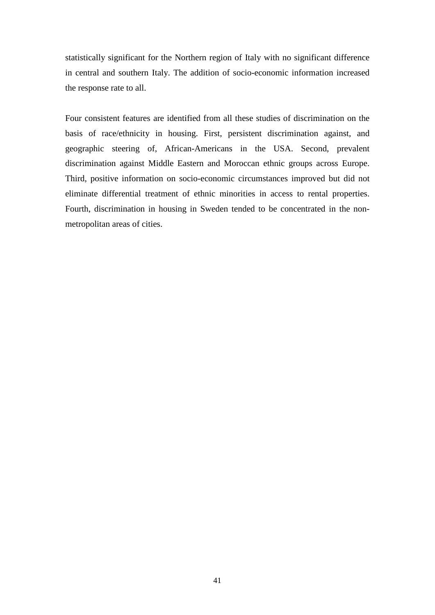statistically significant for the Northern region of Italy with no significant difference in central and southern Italy. The addition of socio-economic information increased the response rate to all.

Four consistent features are identified from all these studies of discrimination on the basis of race/ethnicity in housing. First, persistent discrimination against, and geographic steering of, African-Americans in the USA. Second, prevalent discrimination against Middle Eastern and Moroccan ethnic groups across Europe. Third, positive information on socio-economic circumstances improved but did not eliminate differential treatment of ethnic minorities in access to rental properties. Fourth, discrimination in housing in Sweden tended to be concentrated in the nonmetropolitan areas of cities.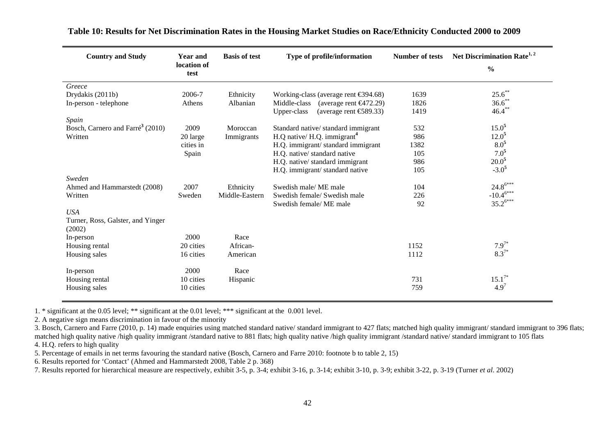| <b>Country and Study</b>                     | <b>Year and</b><br>location of<br>test | <b>Basis of test</b> | Type of profile/information                                | <b>Number of tests</b> | Net Discrimination Rate <sup>1, 2</sup><br>$\frac{0}{0}$ |
|----------------------------------------------|----------------------------------------|----------------------|------------------------------------------------------------|------------------------|----------------------------------------------------------|
| Greece                                       |                                        |                      |                                                            |                        |                                                          |
| Drydakis (2011b)                             | 2006-7                                 | Ethnicity            | Working-class (average rent $\epsilon$ 394.68)             | 1639                   | $25.6^*$                                                 |
| In-person - telephone                        | Athens                                 | Albanian             | Middle-class<br>(average rent $\epsilon$ 472.29)           | 1826                   | $36.6$ **                                                |
|                                              |                                        |                      | (average rent $\text{\textsterling}89.33$ )<br>Upper-class | 1419                   | $46.4***$                                                |
| Spain                                        |                                        |                      |                                                            |                        |                                                          |
| Bosch, Carnero and Farré <sup>3</sup> (2010) | 2009                                   | Moroccan             | Standard native/standard immigrant                         | 532                    | $15.0^{5}$                                               |
| Written                                      | 20 large                               | Immigrants           | $H.Q$ native/ $H.Q$ . immigrant <sup>4</sup>               | 986                    | $12.0^5$                                                 |
|                                              | cities in                              |                      | H.Q. immigrant/standard immigrant                          | 1382                   | $8.0^{5}$                                                |
|                                              | Spain                                  |                      | H.Q. native/standard native                                | 105                    | $7.0^{5}$                                                |
|                                              |                                        |                      | H.Q. native/standard immigrant                             | 986                    | $20.0^{5}$                                               |
|                                              |                                        |                      | H.Q. immigrant/standard native                             | 105                    | $-3.0^{5}$                                               |
| Sweden                                       |                                        |                      |                                                            |                        |                                                          |
| Ahmed and Hammarstedt (2008)                 | 2007                                   | Ethnicity            | Swedish male/ME male                                       | 104                    | $24.8^{6***}$                                            |
| Written                                      | Sweden                                 | Middle-Eastern       | Swedish female/ Swedish male                               | 226                    | $-10.4^{6***}$                                           |
|                                              |                                        |                      | Swedish female/ME male                                     | 92                     | $35.2^{6***}$                                            |
| <b>USA</b>                                   |                                        |                      |                                                            |                        |                                                          |
| Turner, Ross, Galster, and Yinger<br>(2002)  |                                        |                      |                                                            |                        |                                                          |
| In-person                                    | 2000                                   | Race                 |                                                            |                        |                                                          |
| Housing rental                               | 20 cities                              | African-             |                                                            | 1152                   | $7.9^{7*}$                                               |
| Housing sales                                | 16 cities                              | American             |                                                            | 1112                   | $8.3^{7*}$                                               |
| In-person                                    | 2000                                   | Race                 |                                                            |                        |                                                          |
| Housing rental                               | 10 cities                              | Hispanic             |                                                            | 731                    | $15.1^{7*}$                                              |
| Housing sales                                | 10 cities                              |                      |                                                            | 759                    | $4.9^{7}$                                                |

#### **Table 10: Results for Net Discrimination Rates in the Housing Market Studies on Race/Ethnicity Conducted 2000 to 2009**

1. \* significant at the 0.05 level; \*\* significant at the 0.01 level; \*\*\* significant at the 0.001 level.

2. A negative sign means discrimination in favour of the minority

3. Bosch, Carnero and Farre (2010, p. 14) made enquiries using matched standard native/ standard immigrant to 427 flats; matched high quality immigrant/ standard immigrant to 396 flats; matched high quality native /high quality immigrant /standard native to 881 flats; high quality native /high quality immigrant /standard native/ standard immigrant to 105 flats 4. H.Q. refers to high quality

5. Percentage of emails in net terms favouring the standard native (Bosch, Carnero and Farre 2010: footnote b to table 2, 15)

6. Results reported for 'Contact' (Ahmed and Hammarstedt 2008, Table 2 p. 368)

7. Results reported for hierarchical measure are respectively, exhibit 3-5, p. 3-4; exhibit 3-16, p. 3-14; exhibit 3-10, p. 3-9; exhibit 3-22, p. 3-19 (Turner *et al*. 2002)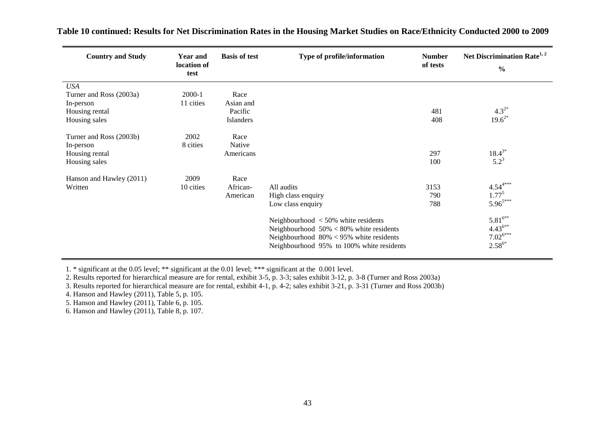| <b>Country and Study</b>                                                              | Year and<br>location of<br>test | <b>Basis of test</b>                      | Type of profile/information                                                                                                                                                                                                               | <b>Number</b><br>of tests | Net Discrimination Rate <sup>1, 2</sup><br>$\frac{6}{9}$                                                     |
|---------------------------------------------------------------------------------------|---------------------------------|-------------------------------------------|-------------------------------------------------------------------------------------------------------------------------------------------------------------------------------------------------------------------------------------------|---------------------------|--------------------------------------------------------------------------------------------------------------|
| <b>USA</b><br>Turner and Ross (2003a)<br>In-person<br>Housing rental<br>Housing sales | 2000-1<br>11 cities             | Race<br>Asian and<br>Pacific<br>Islanders |                                                                                                                                                                                                                                           | 481<br>408                | $4.3^{2*}$<br>$19.6^{2*}$                                                                                    |
| Turner and Ross (2003b)<br>In-person<br>Housing rental<br>Housing sales               | 2002<br>8 cities                | Race<br>Native<br>Americans               |                                                                                                                                                                                                                                           | 297<br>100                | $18.4^{3*}$<br>$5.2^3$                                                                                       |
| Hanson and Hawley (2011)<br>Written                                                   | 2009<br>10 cities               | Race<br>African-<br>American              | All audits<br>High class enquiry<br>Low class enquiry<br>Neighbourhood $<$ 50% white residents<br>Neighbourhood $50\% < 80\%$ white residents<br>Neighbourhood $80\% < 95\%$ white residents<br>Neighbourhood 95% to 100% white residents | 3153<br>790<br>788        | $4.54^{4***}$<br>$1.77^{5}$<br>$5.96^{5***}$<br>$5.81^{6**}$<br>$4.43^{6**}$<br>$7.02^{6***}$<br>$2.58^{6*}$ |

 **Table 10 continued: Results for Net Discrimination Rates in the Housing Market Studies on Race/Ethnicity Conducted 2000 to 2009** 

1. \* significant at the 0.05 level; \*\* significant at the 0.01 level; \*\*\* significant at the 0.001 level.

2. Results reported for hierarchical measure are for rental, exhibit 3-5, p. 3-3; sales exhibit 3-12, p. 3-8 (Turner and Ross 2003a)

3. Results reported for hierarchical measure are for rental, exhibit 4-1, p. 4-2; sales exhibit 3-21, p. 3-31 (Turner and Ross 2003b)

4. Hanson and Hawley (2011), Table 5, p. 105.

5. Hanson and Hawley (2011), Table 6, p. 105.

6. Hanson and Hawley (2011), Table 8, p. 107.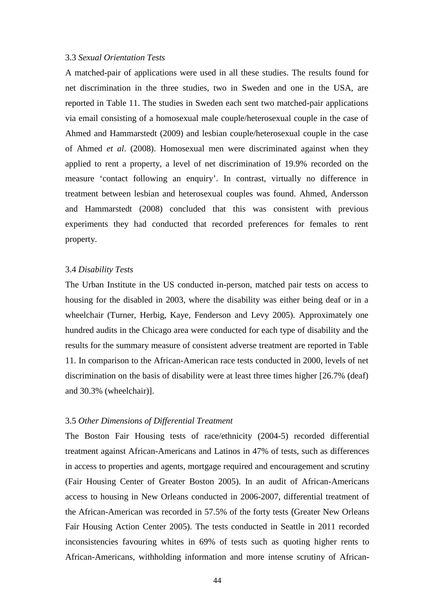#### 3.3 *Sexual Orientation Tests*

A matched-pair of applications were used in all these studies. The results found for net discrimination in the three studies, two in Sweden and one in the USA, are reported in Table 11. The studies in Sweden each sent two matched-pair applications via email consisting of a homosexual male couple/heterosexual couple in the case of Ahmed and Hammarstedt (2009) and lesbian couple/heterosexual couple in the case of Ahmed *et al*. (2008). Homosexual men were discriminated against when they applied to rent a property, a level of net discrimination of 19.9% recorded on the measure 'contact following an enquiry'. In contrast, virtually no difference in treatment between lesbian and heterosexual couples was found. Ahmed, Andersson and Hammarstedt (2008) concluded that this was consistent with previous experiments they had conducted that recorded preferences for females to rent property.

#### 3.4 *Disability Tests*

The Urban Institute in the US conducted in-person, matched pair tests on access to housing for the disabled in 2003, where the disability was either being deaf or in a wheelchair (Turner, Herbig, Kaye, Fenderson and Levy 2005). Approximately one hundred audits in the Chicago area were conducted for each type of disability and the results for the summary measure of consistent adverse treatment are reported in Table 11. In comparison to the African-American race tests conducted in 2000, levels of net discrimination on the basis of disability were at least three times higher [26.7% (deaf) and 30.3% (wheelchair)].

#### 3.5 *Other Dimensions of Differential Treatment*

The Boston Fair Housing tests of race/ethnicity (2004-5) recorded differential treatment against African-Americans and Latinos in 47% of tests, such as differences in access to properties and agents, mortgage required and encouragement and scrutiny (Fair Housing Center of Greater Boston 2005). In an audit of African-Americans access to housing in New Orleans conducted in 2006-2007, differential treatment of the African-American was recorded in 57.5% of the forty tests (Greater New Orleans Fair Housing Action Center 2005). The tests conducted in Seattle in 2011 recorded inconsistencies favouring whites in 69% of tests such as quoting higher rents to African-Americans, withholding information and more intense scrutiny of African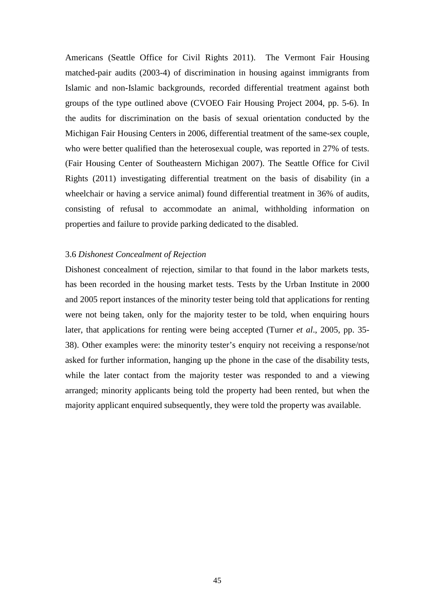Americans (Seattle Office for Civil Rights 2011). The Vermont Fair Housing matched-pair audits (2003-4) of discrimination in housing against immigrants from Islamic and non-Islamic backgrounds, recorded differential treatment against both groups of the type outlined above (CVOEO Fair Housing Project 2004, pp. 5-6). In the audits for discrimination on the basis of sexual orientation conducted by the Michigan Fair Housing Centers in 2006, differential treatment of the same-sex couple, who were better qualified than the heterosexual couple, was reported in 27% of tests. (Fair Housing Center of Southeastern Michigan 2007). The Seattle Office for Civil Rights (2011) investigating differential treatment on the basis of disability (in a wheelchair or having a service animal) found differential treatment in 36% of audits, consisting of refusal to accommodate an animal, withholding information on properties and failure to provide parking dedicated to the disabled.

#### 3.6 *Dishonest Concealment of Rejection*

Dishonest concealment of rejection, similar to that found in the labor markets tests, has been recorded in the housing market tests. Tests by the Urban Institute in 2000 and 2005 report instances of the minority tester being told that applications for renting were not being taken, only for the majority tester to be told, when enquiring hours later, that applications for renting were being accepted (Turner *et al*., 2005, pp. 35- 38). Other examples were: the minority tester's enquiry not receiving a response/not asked for further information, hanging up the phone in the case of the disability tests, while the later contact from the majority tester was responded to and a viewing arranged; minority applicants being told the property had been rented, but when the majority applicant enquired subsequently, they were told the property was available.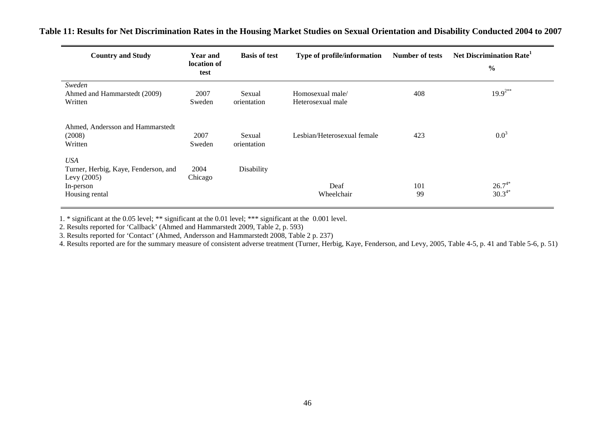| <b>Country and Study</b>                                                                           | <b>Year and</b><br>location of<br>test | <b>Basis of test</b>  | Type of profile/information           | <b>Number of tests</b> | Net Discrimination Rate <sup>1</sup><br>$\frac{0}{0}$ |
|----------------------------------------------------------------------------------------------------|----------------------------------------|-----------------------|---------------------------------------|------------------------|-------------------------------------------------------|
| Sweden<br>Ahmed and Hammarstedt (2009)<br>Written                                                  | 2007<br>Sweden                         | Sexual<br>orientation | Homosexual male/<br>Heterosexual male | 408                    | $19.9^{2**}$                                          |
| Ahmed, Andersson and Hammarstedt<br>(2008)<br>Written                                              | 2007<br>Sweden                         | Sexual<br>orientation | Lesbian/Heterosexual female           | 423                    | $0.0^{3}$                                             |
| <b>USA</b><br>Turner, Herbig, Kaye, Fenderson, and<br>Levy $(2005)$<br>In-person<br>Housing rental | 2004<br>Chicago                        | Disability            | Deaf<br>Wheelchair                    | 101<br>99              | $26.7^{4*}$<br>$30.3^{4*}$                            |

 **Table 11: Results for Net Discrimination Rates in the Housing Market Studies on Sexual Orientation and Disability Conducted 2004 to 2007** 

1. \* significant at the 0.05 level; \*\* significant at the 0.01 level; \*\*\* significant at the 0.001 level.

2. Results reported for 'Callback' (Ahmed and Hammarstedt 2009, Table 2, p. 593)

3. Results reported for 'Contact' (Ahmed, Andersson and Hammarstedt 2008, Table 2 p. 237)

4. Results reported are for the summary measure of consistent adverse treatment (Turner, Herbig, Kaye, Fenderson, and Levy, 2005, Table 4-5, p. 41 and Table 5-6, p. 51)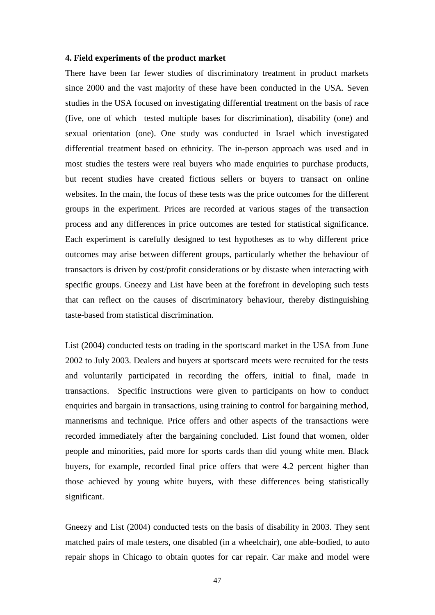#### **4. Field experiments of the product market**

There have been far fewer studies of discriminatory treatment in product markets since 2000 and the vast majority of these have been conducted in the USA. Seven studies in the USA focused on investigating differential treatment on the basis of race (five, one of which tested multiple bases for discrimination), disability (one) and sexual orientation (one). One study was conducted in Israel which investigated differential treatment based on ethnicity. The in-person approach was used and in most studies the testers were real buyers who made enquiries to purchase products, but recent studies have created fictious sellers or buyers to transact on online websites. In the main, the focus of these tests was the price outcomes for the different groups in the experiment. Prices are recorded at various stages of the transaction process and any differences in price outcomes are tested for statistical significance. Each experiment is carefully designed to test hypotheses as to why different price outcomes may arise between different groups, particularly whether the behaviour of transactors is driven by cost/profit considerations or by distaste when interacting with specific groups. Gneezy and List have been at the forefront in developing such tests that can reflect on the causes of discriminatory behaviour, thereby distinguishing taste-based from statistical discrimination.

List (2004) conducted tests on trading in the sportscard market in the USA from June 2002 to July 2003. Dealers and buyers at sportscard meets were recruited for the tests and voluntarily participated in recording the offers, initial to final, made in transactions. Specific instructions were given to participants on how to conduct enquiries and bargain in transactions, using training to control for bargaining method, mannerisms and technique. Price offers and other aspects of the transactions were recorded immediately after the bargaining concluded. List found that women, older people and minorities, paid more for sports cards than did young white men. Black buyers, for example, recorded final price offers that were 4.2 percent higher than those achieved by young white buyers, with these differences being statistically significant.

Gneezy and List (2004) conducted tests on the basis of disability in 2003. They sent matched pairs of male testers, one disabled (in a wheelchair), one able-bodied, to auto repair shops in Chicago to obtain quotes for car repair. Car make and model were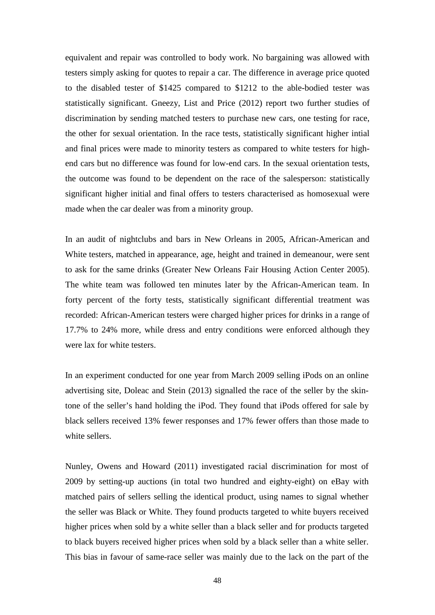equivalent and repair was controlled to body work. No bargaining was allowed with testers simply asking for quotes to repair a car. The difference in average price quoted to the disabled tester of \$1425 compared to \$1212 to the able-bodied tester was statistically significant. Gneezy, List and Price (2012) report two further studies of discrimination by sending matched testers to purchase new cars, one testing for race, the other for sexual orientation. In the race tests, statistically significant higher intial and final prices were made to minority testers as compared to white testers for highend cars but no difference was found for low-end cars. In the sexual orientation tests, the outcome was found to be dependent on the race of the salesperson: statistically significant higher initial and final offers to testers characterised as homosexual were made when the car dealer was from a minority group.

In an audit of nightclubs and bars in New Orleans in 2005, African-American and White testers, matched in appearance, age, height and trained in demeanour, were sent to ask for the same drinks (Greater New Orleans Fair Housing Action Center 2005). The white team was followed ten minutes later by the African-American team. In forty percent of the forty tests, statistically significant differential treatment was recorded: African-American testers were charged higher prices for drinks in a range of 17.7% to 24% more, while dress and entry conditions were enforced although they were lax for white testers.

In an experiment conducted for one year from March 2009 selling iPods on an online advertising site, Doleac and Stein (2013) signalled the race of the seller by the skintone of the seller's hand holding the iPod. They found that iPods offered for sale by black sellers received 13% fewer responses and 17% fewer offers than those made to white sellers.

Nunley, Owens and Howard (2011) investigated racial discrimination for most of 2009 by setting-up auctions (in total two hundred and eighty-eight) on eBay with matched pairs of sellers selling the identical product, using names to signal whether the seller was Black or White. They found products targeted to white buyers received higher prices when sold by a white seller than a black seller and for products targeted to black buyers received higher prices when sold by a black seller than a white seller. This bias in favour of same-race seller was mainly due to the lack on the part of the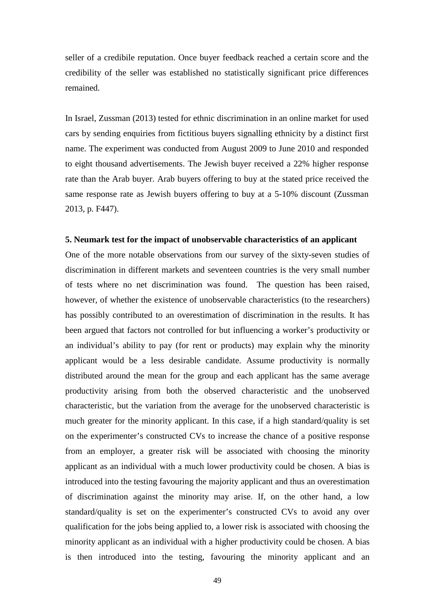seller of a credibile reputation. Once buyer feedback reached a certain score and the credibility of the seller was established no statistically significant price differences remained.

In Israel, Zussman (2013) tested for ethnic discrimination in an online market for used cars by sending enquiries from fictitious buyers signalling ethnicity by a distinct first name. The experiment was conducted from August 2009 to June 2010 and responded to eight thousand advertisements. The Jewish buyer received a 22% higher response rate than the Arab buyer. Arab buyers offering to buy at the stated price received the same response rate as Jewish buyers offering to buy at a 5-10% discount (Zussman 2013, p. F447).

#### **5. Neumark test for the impact of unobservable characteristics of an applicant**

One of the more notable observations from our survey of the sixty-seven studies of discrimination in different markets and seventeen countries is the very small number of tests where no net discrimination was found. The question has been raised, however, of whether the existence of unobservable characteristics (to the researchers) has possibly contributed to an overestimation of discrimination in the results. It has been argued that factors not controlled for but influencing a worker's productivity or an individual's ability to pay (for rent or products) may explain why the minority applicant would be a less desirable candidate. Assume productivity is normally distributed around the mean for the group and each applicant has the same average productivity arising from both the observed characteristic and the unobserved characteristic, but the variation from the average for the unobserved characteristic is much greater for the minority applicant. In this case, if a high standard/quality is set on the experimenter's constructed CVs to increase the chance of a positive response from an employer, a greater risk will be associated with choosing the minority applicant as an individual with a much lower productivity could be chosen. A bias is introduced into the testing favouring the majority applicant and thus an overestimation of discrimination against the minority may arise. If, on the other hand, a low standard/quality is set on the experimenter's constructed CVs to avoid any over qualification for the jobs being applied to, a lower risk is associated with choosing the minority applicant as an individual with a higher productivity could be chosen. A bias is then introduced into the testing, favouring the minority applicant and an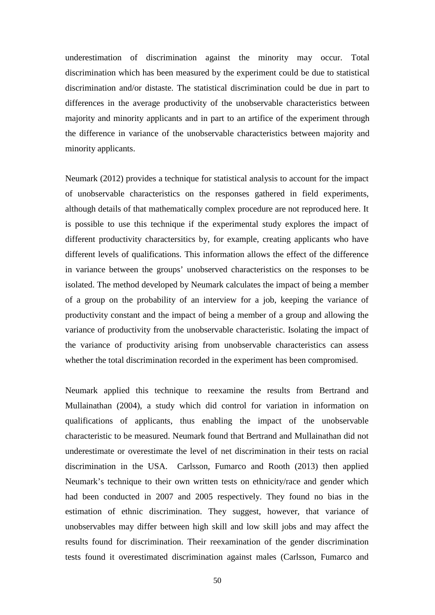underestimation of discrimination against the minority may occur. Total discrimination which has been measured by the experiment could be due to statistical discrimination and/or distaste. The statistical discrimination could be due in part to differences in the average productivity of the unobservable characteristics between majority and minority applicants and in part to an artifice of the experiment through the difference in variance of the unobservable characteristics between majority and minority applicants.

Neumark (2012) provides a technique for statistical analysis to account for the impact of unobservable characteristics on the responses gathered in field experiments, although details of that mathematically complex procedure are not reproduced here. It is possible to use this technique if the experimental study explores the impact of different productivity charactersitics by, for example, creating applicants who have different levels of qualifications. This information allows the effect of the difference in variance between the groups' unobserved characteristics on the responses to be isolated. The method developed by Neumark calculates the impact of being a member of a group on the probability of an interview for a job, keeping the variance of productivity constant and the impact of being a member of a group and allowing the variance of productivity from the unobservable characteristic. Isolating the impact of the variance of productivity arising from unobservable characteristics can assess whether the total discrimination recorded in the experiment has been compromised.

Neumark applied this technique to reexamine the results from Bertrand and Mullainathan (2004), a study which did control for variation in information on qualifications of applicants, thus enabling the impact of the unobservable characteristic to be measured. Neumark found that Bertrand and Mullainathan did not underestimate or overestimate the level of net discrimination in their tests on racial discrimination in the USA. Carlsson, Fumarco and Rooth (2013) then applied Neumark's technique to their own written tests on ethnicity/race and gender which had been conducted in 2007 and 2005 respectively. They found no bias in the estimation of ethnic discrimination. They suggest, however, that variance of unobservables may differ between high skill and low skill jobs and may affect the results found for discrimination. Their reexamination of the gender discrimination tests found it overestimated discrimination against males (Carlsson, Fumarco and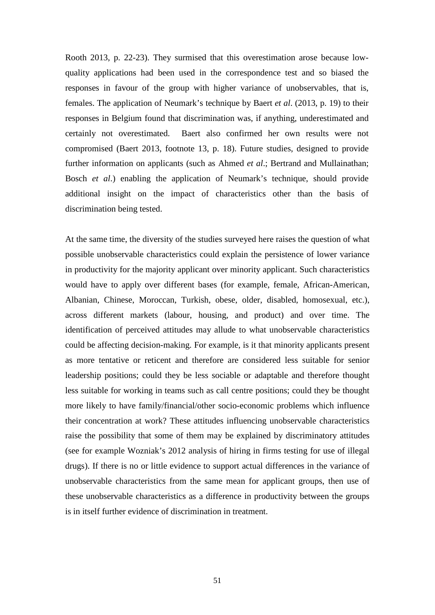Rooth 2013, p. 22-23). They surmised that this overestimation arose because lowquality applications had been used in the correspondence test and so biased the responses in favour of the group with higher variance of unobservables, that is, females. The application of Neumark's technique by Baert *et al*. (2013, p. 19) to their responses in Belgium found that discrimination was, if anything, underestimated and certainly not overestimated. Baert also confirmed her own results were not compromised (Baert 2013, footnote 13, p. 18). Future studies, designed to provide further information on applicants (such as Ahmed *et al*.; Bertrand and Mullainathan; Bosch *et al*.) enabling the application of Neumark's technique, should provide additional insight on the impact of characteristics other than the basis of discrimination being tested.

At the same time, the diversity of the studies surveyed here raises the question of what possible unobservable characteristics could explain the persistence of lower variance in productivity for the majority applicant over minority applicant. Such characteristics would have to apply over different bases (for example, female, African-American, Albanian, Chinese, Moroccan, Turkish, obese, older, disabled, homosexual, etc.), across different markets (labour, housing, and product) and over time. The identification of perceived attitudes may allude to what unobservable characteristics could be affecting decision-making. For example, is it that minority applicants present as more tentative or reticent and therefore are considered less suitable for senior leadership positions; could they be less sociable or adaptable and therefore thought less suitable for working in teams such as call centre positions; could they be thought more likely to have family/financial/other socio-economic problems which influence their concentration at work? These attitudes influencing unobservable characteristics raise the possibility that some of them may be explained by discriminatory attitudes (see for example Wozniak's 2012 analysis of hiring in firms testing for use of illegal drugs). If there is no or little evidence to support actual differences in the variance of unobservable characteristics from the same mean for applicant groups, then use of these unobservable characteristics as a difference in productivity between the groups is in itself further evidence of discrimination in treatment.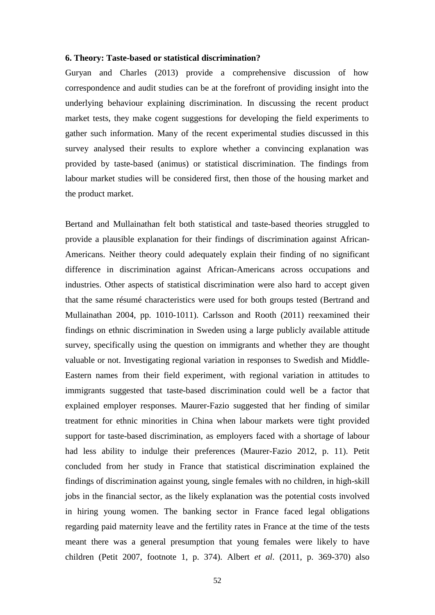#### **6. Theory: Taste-based or statistical discrimination?**

Guryan and Charles (2013) provide a comprehensive discussion of how correspondence and audit studies can be at the forefront of providing insight into the underlying behaviour explaining discrimination. In discussing the recent product market tests, they make cogent suggestions for developing the field experiments to gather such information. Many of the recent experimental studies discussed in this survey analysed their results to explore whether a convincing explanation was provided by taste-based (animus) or statistical discrimination. The findings from labour market studies will be considered first, then those of the housing market and the product market.

Bertand and Mullainathan felt both statistical and taste-based theories struggled to provide a plausible explanation for their findings of discrimination against African-Americans. Neither theory could adequately explain their finding of no significant difference in discrimination against African-Americans across occupations and industries. Other aspects of statistical discrimination were also hard to accept given that the same résumé characteristics were used for both groups tested (Bertrand and Mullainathan 2004, pp. 1010-1011). Carlsson and Rooth (2011) reexamined their findings on ethnic discrimination in Sweden using a large publicly available attitude survey, specifically using the question on immigrants and whether they are thought valuable or not. Investigating regional variation in responses to Swedish and Middle-Eastern names from their field experiment, with regional variation in attitudes to immigrants suggested that taste-based discrimination could well be a factor that explained employer responses. Maurer-Fazio suggested that her finding of similar treatment for ethnic minorities in China when labour markets were tight provided support for taste-based discrimination, as employers faced with a shortage of labour had less ability to indulge their preferences (Maurer-Fazio 2012, p. 11). Petit concluded from her study in France that statistical discrimination explained the findings of discrimination against young, single females with no children, in high-skill jobs in the financial sector, as the likely explanation was the potential costs involved in hiring young women. The banking sector in France faced legal obligations regarding paid maternity leave and the fertility rates in France at the time of the tests meant there was a general presumption that young females were likely to have children (Petit 2007, footnote 1, p. 374). Albert *et al*. (2011, p. 369-370) also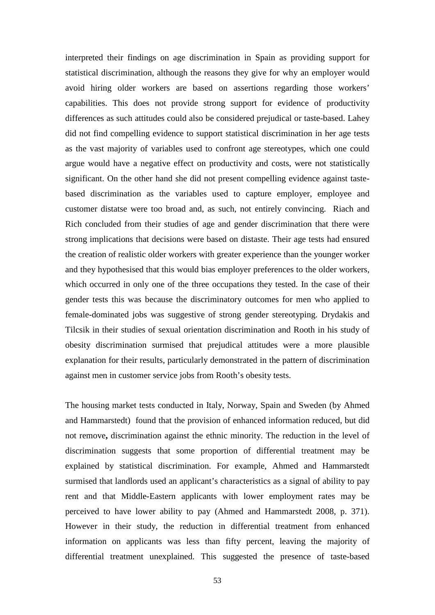interpreted their findings on age discrimination in Spain as providing support for statistical discrimination, although the reasons they give for why an employer would avoid hiring older workers are based on assertions regarding those workers' capabilities. This does not provide strong support for evidence of productivity differences as such attitudes could also be considered prejudical or taste-based. Lahey did not find compelling evidence to support statistical discrimination in her age tests as the vast majority of variables used to confront age stereotypes, which one could argue would have a negative effect on productivity and costs, were not statistically significant. On the other hand she did not present compelling evidence against tastebased discrimination as the variables used to capture employer, employee and customer distatse were too broad and, as such, not entirely convincing. Riach and Rich concluded from their studies of age and gender discrimination that there were strong implications that decisions were based on distaste. Their age tests had ensured the creation of realistic older workers with greater experience than the younger worker and they hypothesised that this would bias employer preferences to the older workers, which occurred in only one of the three occupations they tested. In the case of their gender tests this was because the discriminatory outcomes for men who applied to female-dominated jobs was suggestive of strong gender stereotyping. Drydakis and Tilcsik in their studies of sexual orientation discrimination and Rooth in his study of obesity discrimination surmised that prejudical attitudes were a more plausible explanation for their results, particularly demonstrated in the pattern of discrimination against men in customer service jobs from Rooth's obesity tests.

The housing market tests conducted in Italy, Norway, Spain and Sweden (by Ahmed and Hammarstedt) found that the provision of enhanced information reduced, but did not remove**,** discrimination against the ethnic minority. The reduction in the level of discrimination suggests that some proportion of differential treatment may be explained by statistical discrimination. For example, Ahmed and Hammarstedt surmised that landlords used an applicant's characteristics as a signal of ability to pay rent and that Middle-Eastern applicants with lower employment rates may be perceived to have lower ability to pay (Ahmed and Hammarstedt 2008, p. 371). However in their study, the reduction in differential treatment from enhanced information on applicants was less than fifty percent, leaving the majority of differential treatment unexplained. This suggested the presence of taste-based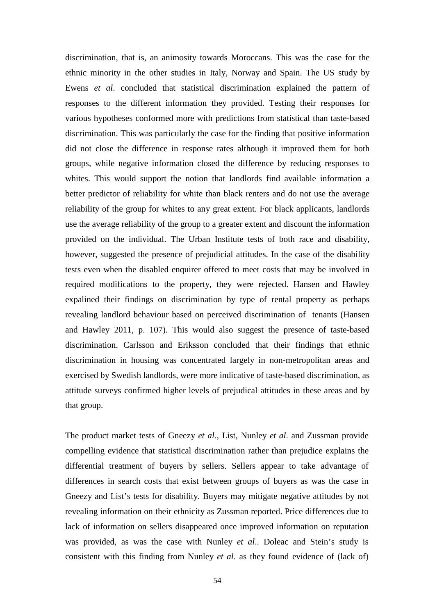discrimination, that is, an animosity towards Moroccans. This was the case for the ethnic minority in the other studies in Italy, Norway and Spain. The US study by Ewens *et al*. concluded that statistical discrimination explained the pattern of responses to the different information they provided. Testing their responses for various hypotheses conformed more with predictions from statistical than taste-based discrimination. This was particularly the case for the finding that positive information did not close the difference in response rates although it improved them for both groups, while negative information closed the difference by reducing responses to whites. This would support the notion that landlords find available information a better predictor of reliability for white than black renters and do not use the average reliability of the group for whites to any great extent. For black applicants, landlords use the average reliability of the group to a greater extent and discount the information provided on the individual. The Urban Institute tests of both race and disability, however, suggested the presence of prejudicial attitudes. In the case of the disability tests even when the disabled enquirer offered to meet costs that may be involved in required modifications to the property, they were rejected. Hansen and Hawley expalined their findings on discrimination by type of rental property as perhaps revealing landlord behaviour based on perceived discrimination of tenants (Hansen and Hawley 2011, p. 107). This would also suggest the presence of taste-based discrimination. Carlsson and Eriksson concluded that their findings that ethnic discrimination in housing was concentrated largely in non-metropolitan areas and exercised by Swedish landlords, were more indicative of taste-based discrimination, as attitude surveys confirmed higher levels of prejudical attitudes in these areas and by that group.

The product market tests of Gneezy *et al*., List, Nunley *et al*. and Zussman provide compelling evidence that statistical discrimination rather than prejudice explains the differential treatment of buyers by sellers. Sellers appear to take advantage of differences in search costs that exist between groups of buyers as was the case in Gneezy and List's tests for disability. Buyers may mitigate negative attitudes by not revealing information on their ethnicity as Zussman reported. Price differences due to lack of information on sellers disappeared once improved information on reputation was provided, as was the case with Nunley *et al*.. Doleac and Stein's study is consistent with this finding from Nunley *et al*. as they found evidence of (lack of)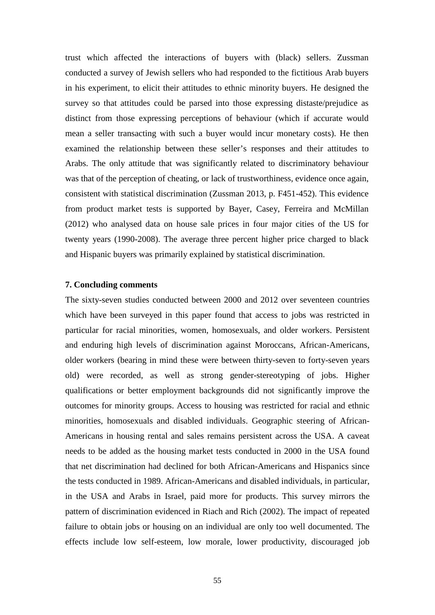trust which affected the interactions of buyers with (black) sellers. Zussman conducted a survey of Jewish sellers who had responded to the fictitious Arab buyers in his experiment, to elicit their attitudes to ethnic minority buyers. He designed the survey so that attitudes could be parsed into those expressing distaste/prejudice as distinct from those expressing perceptions of behaviour (which if accurate would mean a seller transacting with such a buyer would incur monetary costs). He then examined the relationship between these seller's responses and their attitudes to Arabs. The only attitude that was significantly related to discriminatory behaviour was that of the perception of cheating, or lack of trustworthiness, evidence once again, consistent with statistical discrimination (Zussman 2013, p. F451-452). This evidence from product market tests is supported by Bayer, Casey, Ferreira and McMillan (2012) who analysed data on house sale prices in four major cities of the US for twenty years (1990-2008). The average three percent higher price charged to black and Hispanic buyers was primarily explained by statistical discrimination.

#### **7. Concluding comments**

The sixty-seven studies conducted between 2000 and 2012 over seventeen countries which have been surveyed in this paper found that access to jobs was restricted in particular for racial minorities, women, homosexuals, and older workers. Persistent and enduring high levels of discrimination against Moroccans, African-Americans, older workers (bearing in mind these were between thirty-seven to forty-seven years old) were recorded, as well as strong gender-stereotyping of jobs. Higher qualifications or better employment backgrounds did not significantly improve the outcomes for minority groups. Access to housing was restricted for racial and ethnic minorities, homosexuals and disabled individuals. Geographic steering of African-Americans in housing rental and sales remains persistent across the USA. A caveat needs to be added as the housing market tests conducted in 2000 in the USA found that net discrimination had declined for both African-Americans and Hispanics since the tests conducted in 1989. African-Americans and disabled individuals, in particular, in the USA and Arabs in Israel, paid more for products. This survey mirrors the pattern of discrimination evidenced in Riach and Rich (2002). The impact of repeated failure to obtain jobs or housing on an individual are only too well documented. The effects include low self-esteem, low morale, lower productivity, discouraged job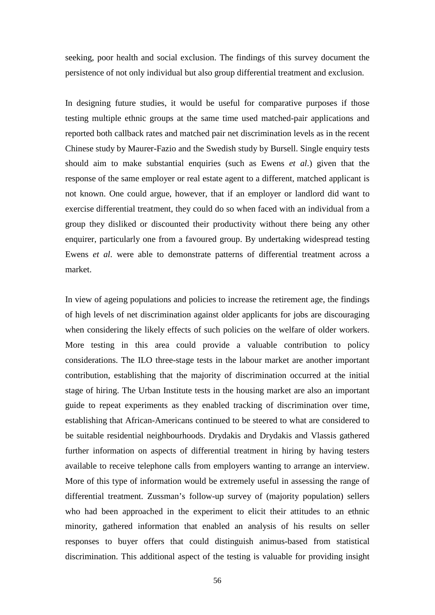seeking, poor health and social exclusion. The findings of this survey document the persistence of not only individual but also group differential treatment and exclusion.

In designing future studies, it would be useful for comparative purposes if those testing multiple ethnic groups at the same time used matched-pair applications and reported both callback rates and matched pair net discrimination levels as in the recent Chinese study by Maurer-Fazio and the Swedish study by Bursell. Single enquiry tests should aim to make substantial enquiries (such as Ewens *et al*.) given that the response of the same employer or real estate agent to a different, matched applicant is not known. One could argue, however, that if an employer or landlord did want to exercise differential treatment, they could do so when faced with an individual from a group they disliked or discounted their productivity without there being any other enquirer, particularly one from a favoured group. By undertaking widespread testing Ewens *et al*. were able to demonstrate patterns of differential treatment across a market.

In view of ageing populations and policies to increase the retirement age, the findings of high levels of net discrimination against older applicants for jobs are discouraging when considering the likely effects of such policies on the welfare of older workers. More testing in this area could provide a valuable contribution to policy considerations. The ILO three-stage tests in the labour market are another important contribution, establishing that the majority of discrimination occurred at the initial stage of hiring. The Urban Institute tests in the housing market are also an important guide to repeat experiments as they enabled tracking of discrimination over time, establishing that African-Americans continued to be steered to what are considered to be suitable residential neighbourhoods. Drydakis and Drydakis and Vlassis gathered further information on aspects of differential treatment in hiring by having testers available to receive telephone calls from employers wanting to arrange an interview. More of this type of information would be extremely useful in assessing the range of differential treatment. Zussman's follow-up survey of (majority population) sellers who had been approached in the experiment to elicit their attitudes to an ethnic minority, gathered information that enabled an analysis of his results on seller responses to buyer offers that could distinguish animus-based from statistical discrimination. This additional aspect of the testing is valuable for providing insight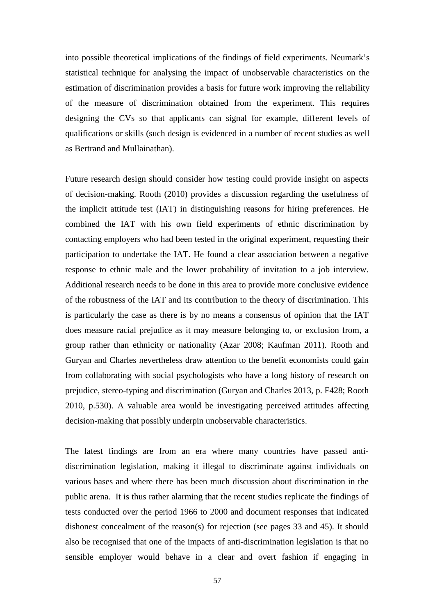into possible theoretical implications of the findings of field experiments. Neumark's statistical technique for analysing the impact of unobservable characteristics on the estimation of discrimination provides a basis for future work improving the reliability of the measure of discrimination obtained from the experiment. This requires designing the CVs so that applicants can signal for example, different levels of qualifications or skills (such design is evidenced in a number of recent studies as well as Bertrand and Mullainathan).

Future research design should consider how testing could provide insight on aspects of decision-making. Rooth (2010) provides a discussion regarding the usefulness of the implicit attitude test (IAT) in distinguishing reasons for hiring preferences. He combined the IAT with his own field experiments of ethnic discrimination by contacting employers who had been tested in the original experiment, requesting their participation to undertake the IAT. He found a clear association between a negative response to ethnic male and the lower probability of invitation to a job interview. Additional research needs to be done in this area to provide more conclusive evidence of the robustness of the IAT and its contribution to the theory of discrimination. This is particularly the case as there is by no means a consensus of opinion that the IAT does measure racial prejudice as it may measure belonging to, or exclusion from, a group rather than ethnicity or nationality (Azar 2008; Kaufman 2011). Rooth and Guryan and Charles nevertheless draw attention to the benefit economists could gain from collaborating with social psychologists who have a long history of research on prejudice, stereo-typing and discrimination (Guryan and Charles 2013, p. F428; Rooth 2010, p.530). A valuable area would be investigating perceived attitudes affecting decision-making that possibly underpin unobservable characteristics.

The latest findings are from an era where many countries have passed antidiscrimination legislation, making it illegal to discriminate against individuals on various bases and where there has been much discussion about discrimination in the public arena. It is thus rather alarming that the recent studies replicate the findings of tests conducted over the period 1966 to 2000 and document responses that indicated dishonest concealment of the reason(s) for rejection (see pages 33 and 45). It should also be recognised that one of the impacts of anti-discrimination legislation is that no sensible employer would behave in a clear and overt fashion if engaging in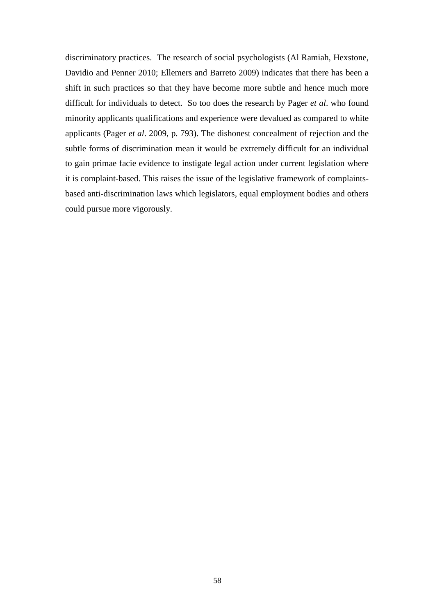discriminatory practices. The research of social psychologists (Al Ramiah, Hexstone, Davidio and Penner 2010; Ellemers and Barreto 2009) indicates that there has been a shift in such practices so that they have become more subtle and hence much more difficult for individuals to detect. So too does the research by Pager *et al*. who found minority applicants qualifications and experience were devalued as compared to white applicants (Pager *et al*. 2009, p. 793). The dishonest concealment of rejection and the subtle forms of discrimination mean it would be extremely difficult for an individual to gain primae facie evidence to instigate legal action under current legislation where it is complaint-based. This raises the issue of the legislative framework of complaintsbased anti-discrimination laws which legislators, equal employment bodies and others could pursue more vigorously.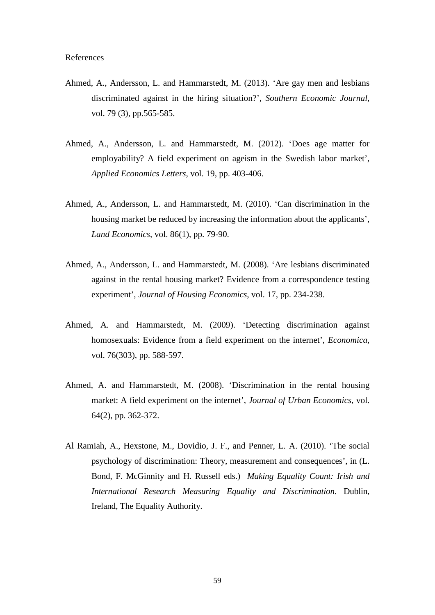- Ahmed, A., Andersson, L. and Hammarstedt, M. (2013). 'Are gay men and lesbians discriminated against in the hiring situation?', *Southern Economic Journal*, vol. 79 (3), pp.565-585.
- Ahmed, A., Andersson, L. and Hammarstedt, M. (2012). 'Does age matter for employability? A field experiment on ageism in the Swedish labor market', *Applied Economics Letters*, vol. 19, pp. 403-406.
- Ahmed, A., Andersson, L. and Hammarstedt, M. (2010). 'Can discrimination in the housing market be reduced by increasing the information about the applicants', *Land Economics*, vol. 86(1), pp. 79-90.
- Ahmed, A., Andersson, L. and Hammarstedt, M. (2008). 'Are lesbians discriminated against in the rental housing market? Evidence from a correspondence testing experiment', *Journal of Housing Economics*, vol. 17, pp. 234-238.
- Ahmed, A. and Hammarstedt, M. (2009). 'Detecting discrimination against homosexuals: Evidence from a field experiment on the internet', *Economica*, vol. 76(303), pp. 588-597.
- Ahmed, A. and Hammarstedt, M. (2008). 'Discrimination in the rental housing market: A field experiment on the internet', *Journal of Urban Economics*, vol. 64(2), pp. 362-372.
- Al Ramiah, A., Hexstone, M., Dovidio, J. F., and Penner, L. A. (2010). 'The social psychology of discrimination: Theory, measurement and consequences', in (L. Bond, F. McGinnity and H. Russell eds.) *Making Equality Count: Irish and International Research Measuring Equality and Discrimination*. Dublin, Ireland, The Equality Authority.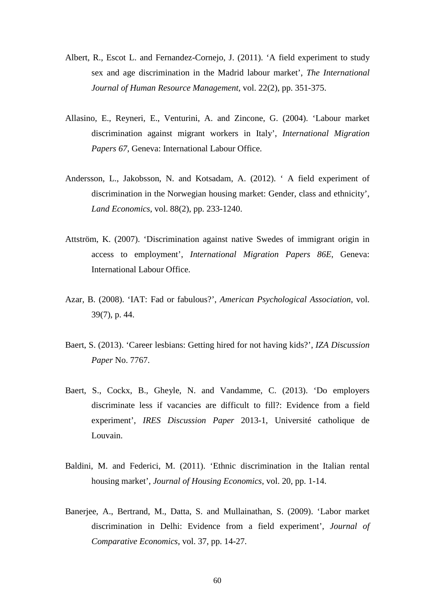- Albert, R., Escot L. and Fernandez-Cornejo, J. (2011). 'A field experiment to study sex and age discrimination in the Madrid labour market', *The International Journal of Human Resource Management*, vol. 22(2), pp. 351-375.
- Allasino, E., Reyneri, E., Venturini, A. and Zincone, G. (2004). 'Labour market discrimination against migrant workers in Italy', *International Migration Papers 67*, Geneva: International Labour Office.
- Andersson, L., Jakobsson, N. and Kotsadam, A. (2012). ' A field experiment of discrimination in the Norwegian housing market: Gender, class and ethnicity', *Land Economics*, vol. 88(2), pp. 233-1240.
- Attström, K. (2007). 'Discrimination against native Swedes of immigrant origin in access to employment', *International Migration Papers 86E*, Geneva: International Labour Office.
- Azar, B. (2008). 'IAT: Fad or fabulous?', *American Psychological Association*, vol. 39(7), p. 44.
- Baert, S. (2013). 'Career lesbians: Getting hired for not having kids?', *IZA Discussion Paper* No. 7767.
- Baert, S., Cockx, B., Gheyle, N. and Vandamme, C. (2013). 'Do employers discriminate less if vacancies are difficult to fill?: Evidence from a field experiment', *IRES Discussion Paper* 2013-1, Université catholique de Louvain.
- Baldini, M. and Federici, M. (2011). 'Ethnic discrimination in the Italian rental housing market', *Journal of Housing Economics*, vol. 20, pp. 1-14.
- Banerjee, A., Bertrand, M., Datta, S. and Mullainathan, S. (2009). 'Labor market discrimination in Delhi: Evidence from a field experiment', *Journal of Comparative Economics*, vol. 37, pp. 14-27.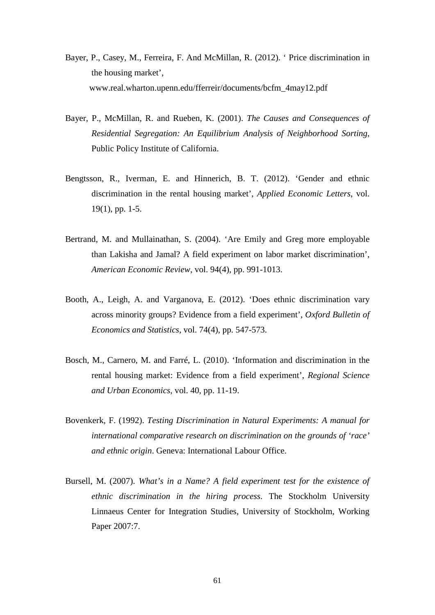- Bayer, P., Casey, M., Ferreira, F. And McMillan, R. (2012). ' Price discrimination in the housing market', www.real.wharton.upenn.edu/fferreir/documents/bcfm\_4may12.pdf
- Bayer, P., McMillan, R. and Rueben, K. (2001). *The Causes and Consequences of Residential Segregation: An Equilibrium Analysis of Neighborhood Sorting*, Public Policy Institute of California.
- Bengtsson, R., Iverman, E. and Hinnerich, B. T. (2012). 'Gender and ethnic discrimination in the rental housing market', *Applied Economic Letters*, vol. 19(1), pp. 1-5.
- Bertrand, M. and Mullainathan, S. (2004). 'Are Emily and Greg more employable than Lakisha and Jamal? A field experiment on labor market discrimination', *American Economic Review*, vol. 94(4), pp. 991-1013.
- Booth, A., Leigh, A. and Varganova, E. (2012). 'Does ethnic discrimination vary across minority groups? Evidence from a field experiment', *Oxford Bulletin of Economics and Statistics*, vol. 74(4), pp. 547-573.
- Bosch, M., Carnero, M. and Farré, L. (2010). 'Information and discrimination in the rental housing market: Evidence from a field experiment', *Regional Science and Urban Economics*, vol. 40, pp. 11-19.
- Bovenkerk, F. (1992). *Testing Discrimination in Natural Experiments: A manual for international comparative research on discrimination on the grounds of 'race' and ethnic origin*. Geneva: International Labour Office.
- Bursell, M. (2007). *What's in a Name? A field experiment test for the existence of ethnic discrimination in the hiring process*. The Stockholm University Linnaeus Center for Integration Studies, University of Stockholm, Working Paper 2007:7.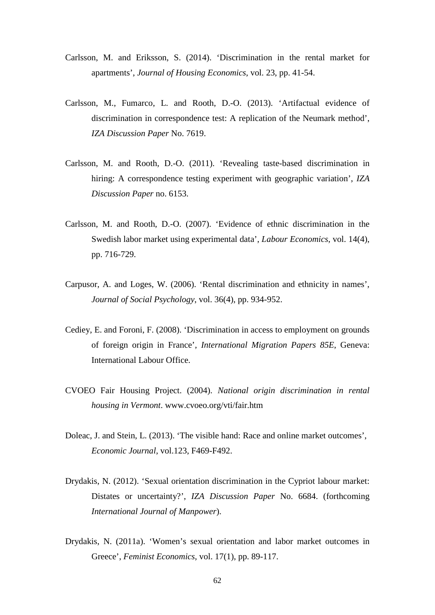- Carlsson, M. and Eriksson, S. (2014). 'Discrimination in the rental market for apartments', *Journal of Housing Economics*, vol. 23, pp. 41-54.
- Carlsson, M., Fumarco, L. and Rooth, D.-O. (2013). 'Artifactual evidence of discrimination in correspondence test: A replication of the Neumark method', *IZA Discussion Paper* No. 7619.
- Carlsson, M. and Rooth, D.-O. (2011). 'Revealing taste-based discrimination in hiring: A correspondence testing experiment with geographic variation', *IZA Discussion Paper* no. 6153.
- Carlsson, M. and Rooth, D.-O. (2007). 'Evidence of ethnic discrimination in the Swedish labor market using experimental data', *Labour Economics*, vol. 14(4), pp. 716-729.
- Carpusor, A. and Loges, W. (2006). 'Rental discrimination and ethnicity in names', *Journal of Social Psychology*, vol. 36(4), pp. 934-952.
- Cediey, E. and Foroni, F. (2008). 'Discrimination in access to employment on grounds of foreign origin in France', *International Migration Papers 85E*, Geneva: International Labour Office.
- CVOEO Fair Housing Project. (2004). *National origin discrimination in rental housing in Vermont*. www.cvoeo.org/vti/fair.htm
- Doleac, J. and Stein, L. (2013). 'The visible hand: Race and online market outcomes',  *Economic Journal*, vol.123, F469-F492.
- Drydakis, N. (2012). 'Sexual orientation discrimination in the Cypriot labour market: Distates or uncertainty?', *IZA Discussion Paper* No. 6684. (forthcoming *International Journal of Manpower*).
- Drydakis, N. (2011a). 'Women's sexual orientation and labor market outcomes in Greece', *Feminist Economics*, vol. 17(1), pp. 89-117.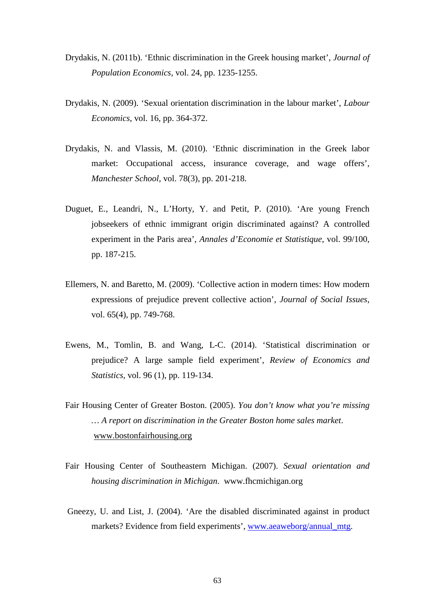- Drydakis, N. (2011b). 'Ethnic discrimination in the Greek housing market', *Journal of Population Economics*, vol. 24, pp. 1235-1255.
- Drydakis, N. (2009). 'Sexual orientation discrimination in the labour market', *Labour Economics*, vol. 16, pp. 364-372.
- Drydakis, N. and Vlassis, M. (2010). 'Ethnic discrimination in the Greek labor market: Occupational access, insurance coverage, and wage offers', *Manchester School*, vol. 78(3), pp. 201-218.
- Duguet, E., Leandri, N., L'Horty, Y. and Petit, P. (2010). 'Are young French jobseekers of ethnic immigrant origin discriminated against? A controlled experiment in the Paris area', *Annales d'Economie et Statistique*, vol. 99/100, pp. 187-215.
- Ellemers, N. and Baretto, M. (2009). 'Collective action in modern times: How modern expressions of prejudice prevent collective action', *Journal of Social Issues*, vol. 65(4), pp. 749-768.
- Ewens, M., Tomlin, B. and Wang, L-C. (2014). 'Statistical discrimination or prejudice? A large sample field experiment', *Review of Economics and Statistics*, vol. 96 (1), pp. 119-134.
- Fair Housing Center of Greater Boston. (2005). *You don't know what you're missing … A report on discrimination in the Greater Boston home sales market*. [www.bostonfairhousing.org](http://www.bostonfairhousing.org/)
- Fair Housing Center of Southeastern Michigan. (2007). *Sexual orientation and housing discrimination in Michigan*. www.fhcmichigan.org
- Gneezy, U. and List, J. (2004). 'Are the disabled discriminated against in product markets? Evidence from field experiments', [www.aeaweborg/annual\\_mtg.](http://www.aeaweborg/annual_mtg)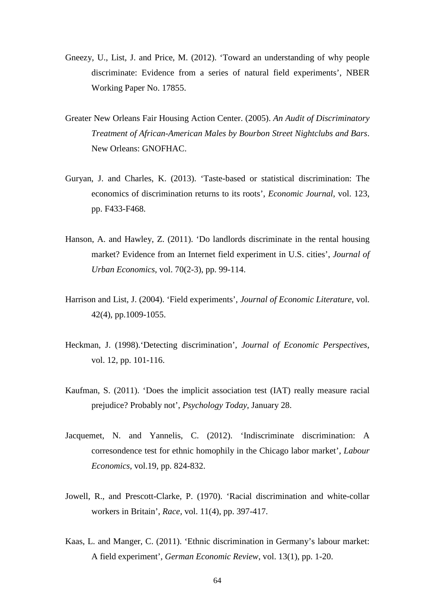- Gneezy, U., List, J. and Price, M. (2012). 'Toward an understanding of why people discriminate: Evidence from a series of natural field experiments', NBER Working Paper No. 17855.
- Greater New Orleans Fair Housing Action Center. (2005). *An Audit of Discriminatory Treatment of African-American Males by Bourbon Street Nightclubs and Bars*. New Orleans: GNOFHAC.
- Guryan, J. and Charles, K. (2013). 'Taste-based or statistical discrimination: The economics of discrimination returns to its roots', *Economic Journal*, vol. 123, pp. F433-F468.
- Hanson, A. and Hawley, Z. (2011). 'Do landlords discriminate in the rental housing market? Evidence from an Internet field experiment in U.S. cities', *Journal of Urban Economics*, vol. 70(2-3), pp. 99-114.
- Harrison and List, J. (2004). 'Field experiments', *Journal of Economic Literature*, vol. 42(4), pp.1009-1055.
- Heckman, J. (1998).'Detecting discrimination', *Journal of Economic Perspectives*, vol. 12, pp. 101-116.
- Kaufman, S. (2011). 'Does the implicit association test (IAT) really measure racial prejudice? Probably not', *Psychology Today*, January 28.
- Jacquemet, N. and Yannelis, C. (2012). 'Indiscriminate discrimination: A corresondence test for ethnic homophily in the Chicago labor market', *Labour Economics*, vol.19, pp. 824-832.
- Jowell, R., and Prescott-Clarke, P. (1970). 'Racial discrimination and white-collar workers in Britain', *Race*, vol. 11(4), pp. 397-417.
- Kaas, L. and Manger, C. (2011). 'Ethnic discrimination in Germany's labour market: A field experiment', *German Economic Review*, vol. 13(1), pp. 1-20.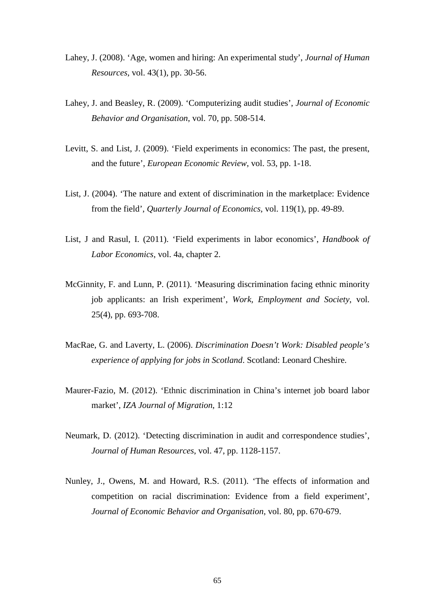- Lahey, J. (2008). 'Age, women and hiring: An experimental study', *Journal of Human Resources*, vol. 43(1), pp. 30-56.
- Lahey, J. and Beasley, R. (2009). 'Computerizing audit studies', *Journal of Economic Behavior and Organisation*, vol. 70, pp. 508-514.
- Levitt, S. and List, J. (2009). 'Field experiments in economics: The past, the present, and the future', *European Economic Review*, vol. 53, pp. 1-18.
- List, J. (2004). 'The nature and extent of discrimination in the marketplace: Evidence from the field', *Quarterly Journal of Economics*, vol. 119(1), pp. 49-89.
- List, J and Rasul, I. (2011). 'Field experiments in labor economics', *Handbook of Labor Economics*, vol. 4a, chapter 2.
- McGinnity, F. and Lunn, P. (2011). 'Measuring discrimination facing ethnic minority job applicants: an Irish experiment', *Work, Employment and Society*, vol. 25(4), pp. 693-708.
- MacRae, G. and Laverty, L. (2006). *Discrimination Doesn't Work: Disabled people's experience of applying for jobs in Scotland*. Scotland: Leonard Cheshire.
- Maurer-Fazio, M. (2012). 'Ethnic discrimination in China's internet job board labor market', *IZA Journal of Migration*, 1:12
- Neumark, D. (2012). 'Detecting discrimination in audit and correspondence studies', *Journal of Human Resources*, vol. 47, pp. 1128-1157.
- Nunley, J., Owens, M. and Howard, R.S. (2011). 'The effects of information and competition on racial discrimination: Evidence from a field experiment', *Journal of Economic Behavior and Organisation*, vol. 80, pp. 670-679.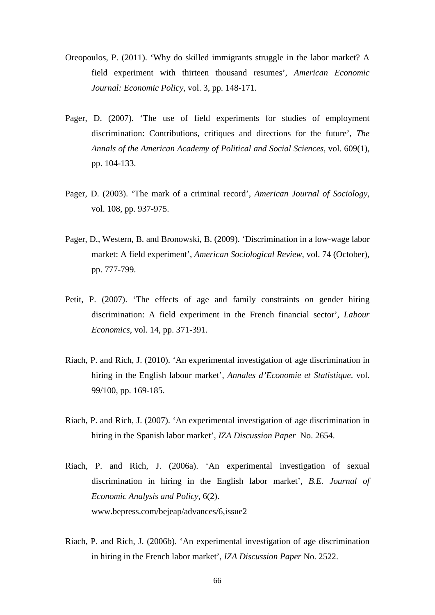- Oreopoulos, P. (2011). 'Why do skilled immigrants struggle in the labor market? A field experiment with thirteen thousand resumes', *American Economic Journal: Economic Policy*, vol. 3, pp. 148-171.
- Pager, D. (2007). 'The use of field experiments for studies of employment discrimination: Contributions, critiques and directions for the future', *The Annals of the American Academy of Political and Social Sciences*, vol. 609(1), pp. 104-133.
- Pager, D. (2003). 'The mark of a criminal record', *American Journal of Sociology*, vol. 108, pp. 937-975.
- Pager, D., Western, B. and Bronowski, B. (2009). 'Discrimination in a low-wage labor market: A field experiment', *American Sociological Review*, vol. 74 (October), pp. 777-799.
- Petit, P. (2007). 'The effects of age and family constraints on gender hiring discrimination: A field experiment in the French financial sector', *Labour Economics*, vol. 14, pp. 371-391.
- Riach, P. and Rich, J. (2010). 'An experimental investigation of age discrimination in hiring in the English labour market', *Annales d'Economie et Statistique*. vol. 99/100, pp. 169-185.
- Riach, P. and Rich, J. (2007). 'An experimental investigation of age discrimination in hiring in the Spanish labor market', *IZA Discussion Paper* No. 2654.
- Riach, P. and Rich, J. (2006a). 'An experimental investigation of sexual discrimination in hiring in the English labor market', *B.E. Journal of Economic Analysis and Policy*, 6(2). [www.bepress.com/bejeap/advances/6,issue2](http://www.bepress.com/bejeap/advances/6,issue2)
- Riach, P. and Rich, J. (2006b). 'An experimental investigation of age discrimination in hiring in the French labor market', *IZA Discussion Paper* No. 2522.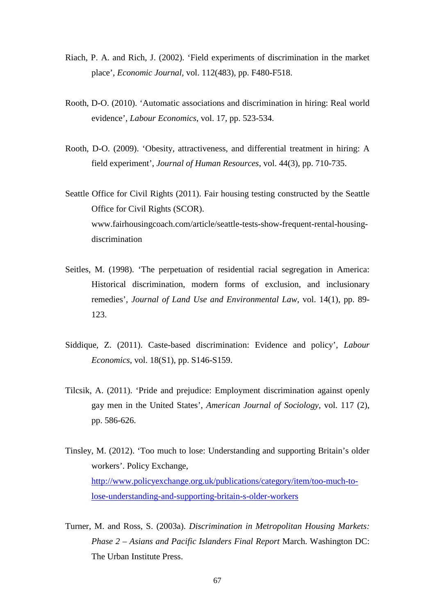- Riach, P. A. and Rich, J. (2002). 'Field experiments of discrimination in the market place', *Economic Journal*, vol. 112(483), pp. F480-F518.
- Rooth, D-O. (2010). 'Automatic associations and discrimination in hiring: Real world evidence', *Labour Economics*, vol. 17, pp. 523-534.
- Rooth, D-O. (2009). 'Obesity, attractiveness, and differential treatment in hiring: A field experiment', *Journal of Human Resources*, vol. 44(3), pp. 710-735.
- Seattle Office for Civil Rights (2011). Fair housing testing constructed by the Seattle Office for Civil Rights (SCOR). www.fairhousingcoach.com/article/seattle-tests-show-frequent-rental-housingdiscrimination
- Seitles, M. (1998). 'The perpetuation of residential racial segregation in America: Historical discrimination, modern forms of exclusion, and inclusionary remedies', *Journal of Land Use and Environmental Law*, vol. 14(1), pp. 89- 123.
- Siddique, Z. (2011). Caste-based discrimination: Evidence and policy', *Labour Economics*, vol. 18(S1), pp. S146-S159.
- Tilcsik, A. (2011). 'Pride and prejudice: Employment discrimination against openly gay men in the United States', *American Journal of Sociology*, vol. 117 (2), pp. 586-626.
- Tinsley, M. (2012). 'Too much to lose: Understanding and supporting Britain's older workers'. Policy Exchange, [http://www.policyexchange.org.uk/publications/category/item/too-much-to](http://www.policyexchange.org.uk/publications/category/item/too-much-to-lose-understanding-and-supporting-britain-s-older-workers)[lose-understanding-and-supporting-britain-s-older-workers](http://www.policyexchange.org.uk/publications/category/item/too-much-to-lose-understanding-and-supporting-britain-s-older-workers)
- Turner, M. and Ross, S. (2003a). *Discrimination in Metropolitan Housing Markets: Phase 2 – Asians and Pacific Islanders Final Report* March. Washington DC: The Urban Institute Press.